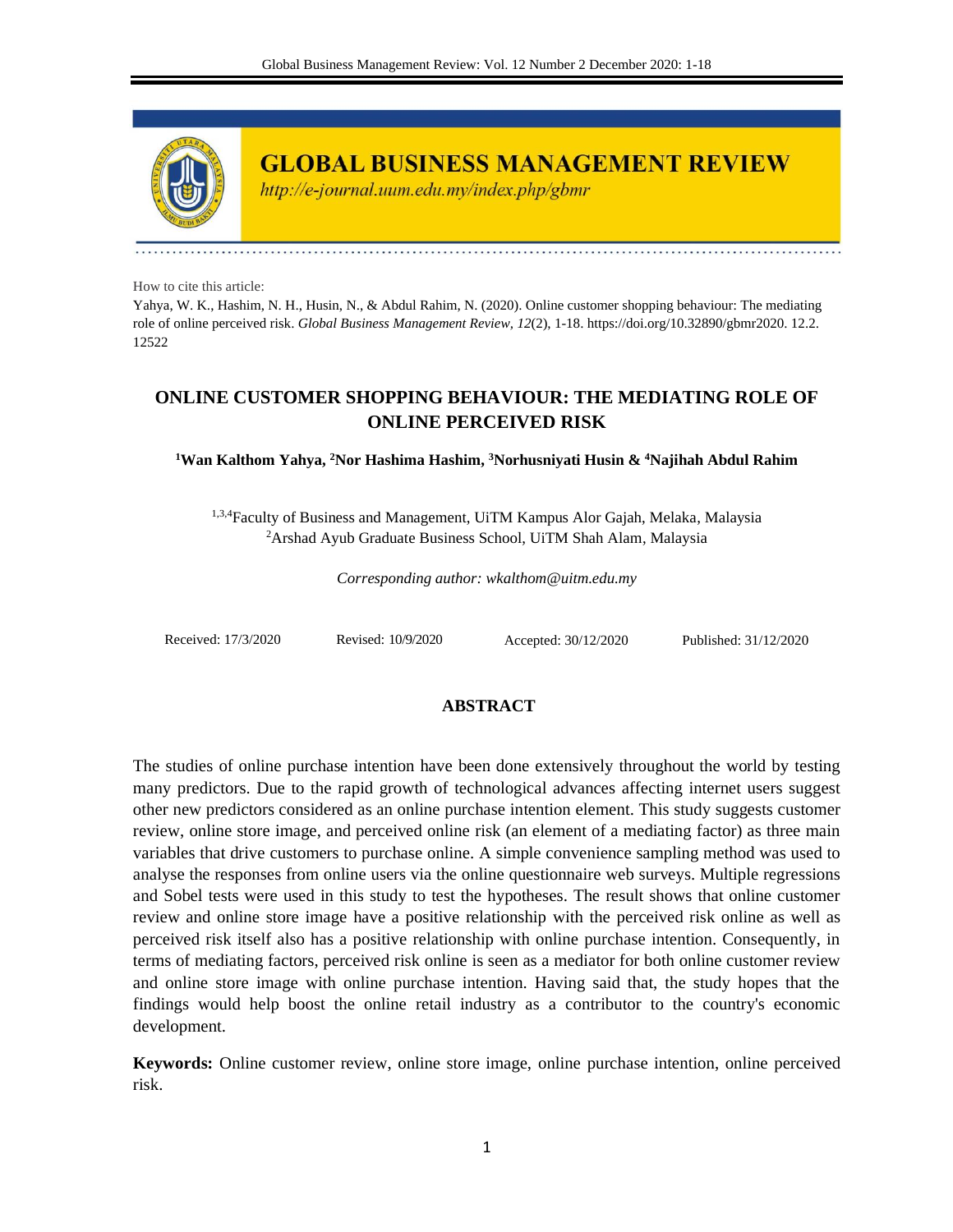

**GLOBAL BUSINESS MANAGEMENT REVIEW** 

http://e-journal.uum.edu.my/index.php/gbmr

How to cite this article:

Yahya, W. K., Hashim, N. H., Husin, N., & Abdul Rahim, N. (2020). Online customer shopping behaviour: The mediating role of online perceived risk. *Global Business Management Review, 12*(2), 1-18. https://doi.org/10.32890/gbmr2020. 12.2. 12522

# **ONLINE CUSTOMER SHOPPING BEHAVIOUR: THE MEDIATING ROLE OF ONLINE PERCEIVED RISK**

**<sup>1</sup>Wan Kalthom Yahya, <sup>2</sup>Nor Hashima Hashim, <sup>3</sup>Norhusniyati Husin & <sup>4</sup>Najihah Abdul Rahim**

<sup>1,3,4</sup>Faculty of Business and Management, UiTM Kampus Alor Gajah, Melaka, Malaysia <sup>2</sup>Arshad Ayub Graduate Business School, UiTM Shah Alam, Malaysia

*Corresponding author: wkalthom@uitm.edu.my*

Received: 17/3/2020 Revised: 10/9/2020 Accepted: 30/12/2020 Published: 31/12/2020

## **ABSTRACT**

The studies of online purchase intention have been done extensively throughout the world by testing many predictors. Due to the rapid growth of technological advances affecting internet users suggest other new predictors considered as an online purchase intention element. This study suggests customer review, online store image, and perceived online risk (an element of a mediating factor) as three main variables that drive customers to purchase online. A simple convenience sampling method was used to analyse the responses from online users via the online questionnaire web surveys. Multiple regressions and Sobel tests were used in this study to test the hypotheses. The result shows that online customer review and online store image have a positive relationship with the perceived risk online as well as perceived risk itself also has a positive relationship with online purchase intention. Consequently, in terms of mediating factors, perceived risk online is seen as a mediator for both online customer review and online store image with online purchase intention. Having said that, the study hopes that the findings would help boost the online retail industry as a contributor to the country's economic development.

**Keywords:** Online customer review, online store image, online purchase intention, online perceived risk.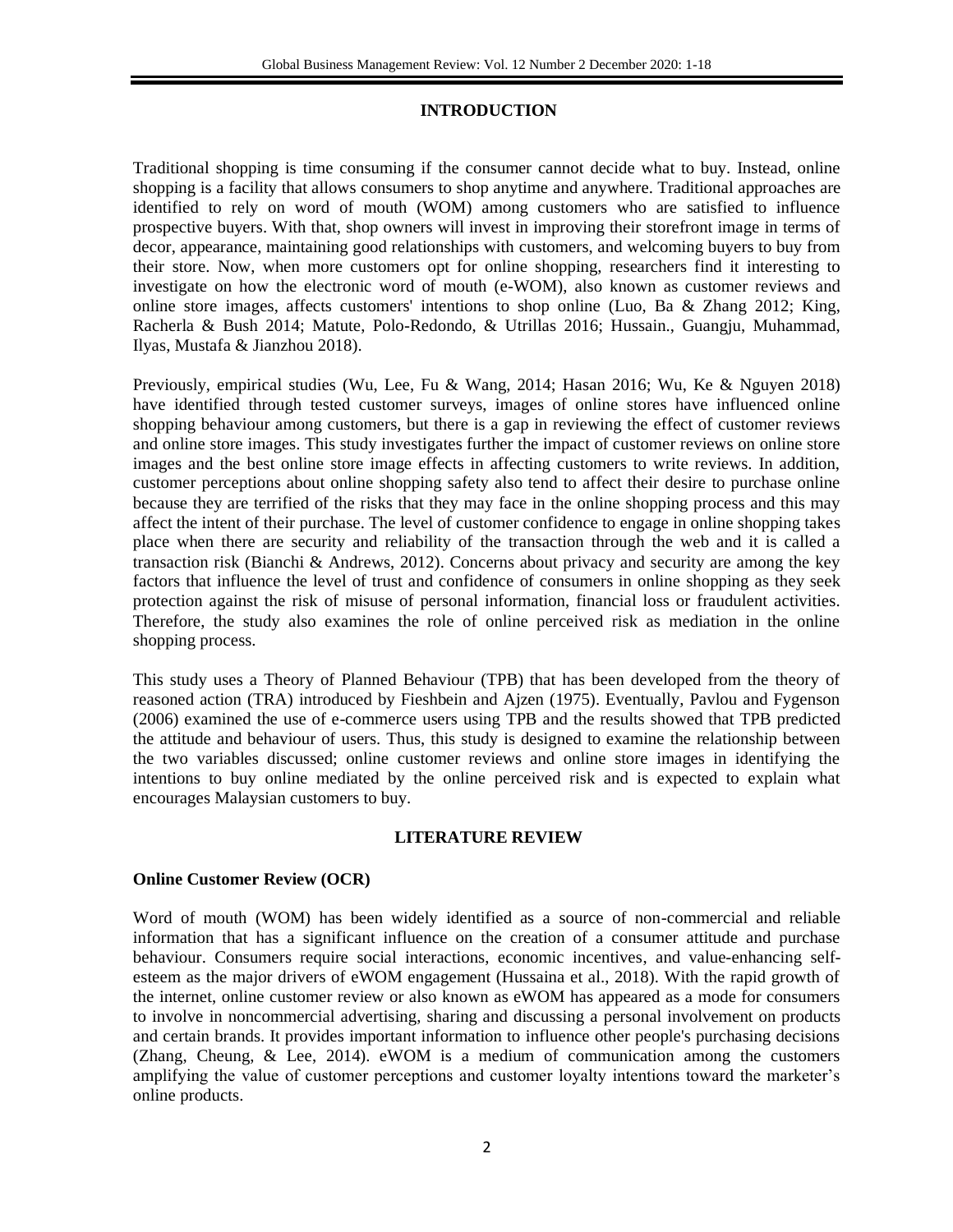## **INTRODUCTION**

Traditional shopping is time consuming if the consumer cannot decide what to buy. Instead, online shopping is a facility that allows consumers to shop anytime and anywhere. Traditional approaches are identified to rely on word of mouth (WOM) among customers who are satisfied to influence prospective buyers. With that, shop owners will invest in improving their storefront image in terms of decor, appearance, maintaining good relationships with customers, and welcoming buyers to buy from their store. Now, when more customers opt for online shopping, researchers find it interesting to investigate on how the electronic word of mouth (e-WOM), also known as customer reviews and online store images, affects customers' intentions to shop online (Luo, Ba & Zhang 2012; King, Racherla & Bush 2014; Matute, Polo-Redondo, & Utrillas 2016; Hussain., Guangju, Muhammad, Ilyas, Mustafa & Jianzhou 2018).

Previously, empirical studies (Wu, Lee, Fu & Wang, 2014; Hasan 2016; Wu, Ke & Nguyen 2018) have identified through tested customer surveys, images of online stores have influenced online shopping behaviour among customers, but there is a gap in reviewing the effect of customer reviews and online store images. This study investigates further the impact of customer reviews on online store images and the best online store image effects in affecting customers to write reviews. In addition, customer perceptions about online shopping safety also tend to affect their desire to purchase online because they are terrified of the risks that they may face in the online shopping process and this may affect the intent of their purchase. The level of customer confidence to engage in online shopping takes place when there are security and reliability of the transaction through the web and it is called a transaction risk (Bianchi & Andrews, 2012). Concerns about privacy and security are among the key factors that influence the level of trust and confidence of consumers in online shopping as they seek protection against the risk of misuse of personal information, financial loss or fraudulent activities. Therefore, the study also examines the role of online perceived risk as mediation in the online shopping process.

This study uses a Theory of Planned Behaviour (TPB) that has been developed from the theory of reasoned action (TRA) introduced by Fieshbein and Ajzen (1975). Eventually, Pavlou and Fygenson (2006) examined the use of e-commerce users using TPB and the results showed that TPB predicted the attitude and behaviour of users. Thus, this study is designed to examine the relationship between the two variables discussed; online customer reviews and online store images in identifying the intentions to buy online mediated by the online perceived risk and is expected to explain what encourages Malaysian customers to buy.

## **LITERATURE REVIEW**

## **Online Customer Review (OCR)**

Word of mouth (WOM) has been widely identified as a source of non-commercial and reliable information that has a significant influence on the creation of a consumer attitude and purchase behaviour. Consumers require social interactions, economic incentives, and value-enhancing selfesteem as the major drivers of eWOM engagement (Hussaina et al., 2018). With the rapid growth of the internet, online customer review or also known as eWOM has appeared as a mode for consumers to involve in noncommercial advertising, sharing and discussing a personal involvement on products and certain brands. It provides important information to influence other people's purchasing decisions (Zhang, Cheung, & Lee, 2014). eWOM is a medium of communication among the customers amplifying the value of customer perceptions and customer loyalty intentions toward the marketer's online products.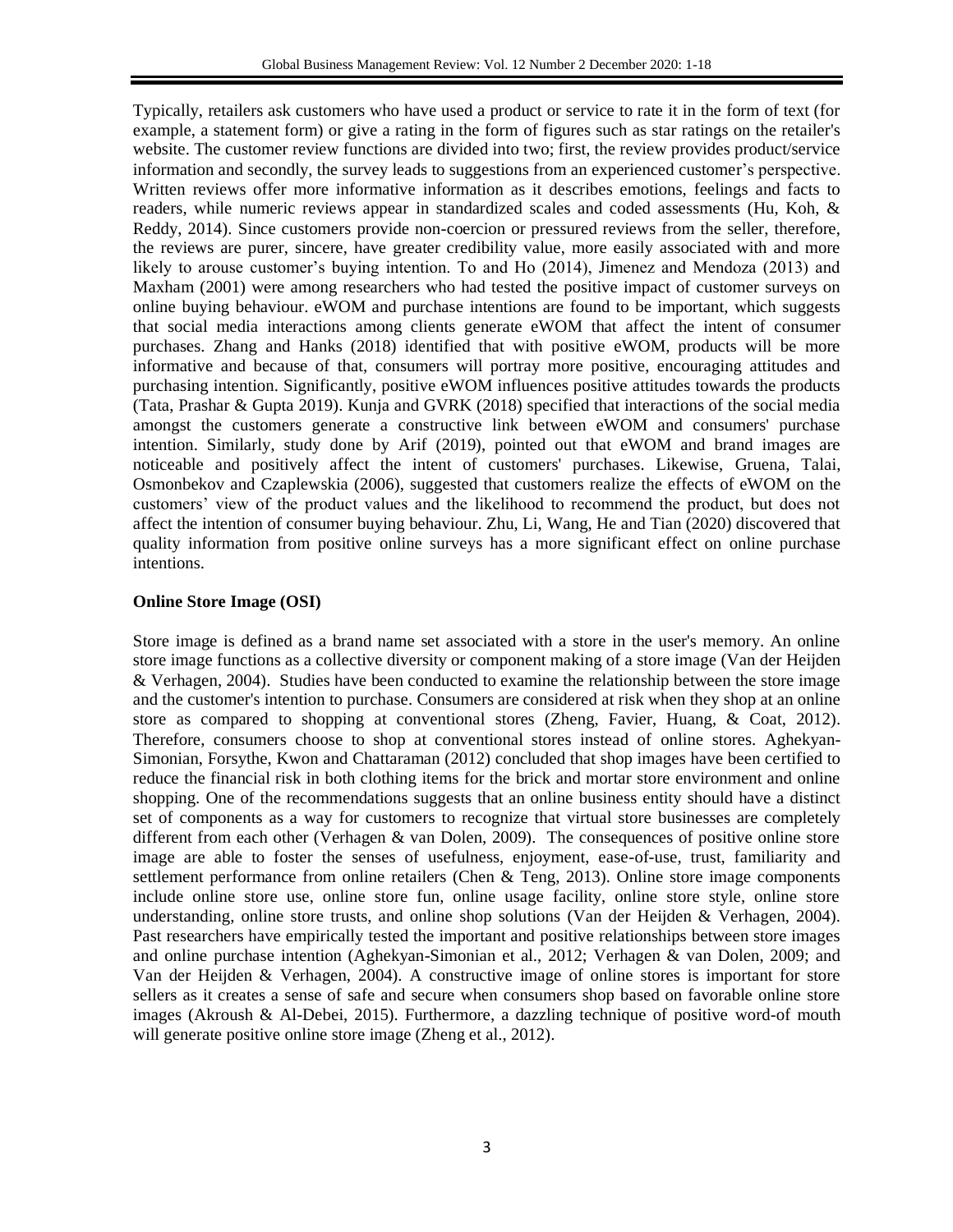Typically, retailers ask customers who have used a product or service to rate it in the form of text (for example, a statement form) or give a rating in the form of figures such as star ratings on the retailer's website. The customer review functions are divided into two; first, the review provides product/service information and secondly, the survey leads to suggestions from an experienced customer's perspective. Written reviews offer more informative information as it describes emotions, feelings and facts to readers, while numeric reviews appear in standardized scales and coded assessments (Hu, Koh, & Reddy, 2014). Since customers provide non-coercion or pressured reviews from the seller, therefore, the reviews are purer, sincere, have greater credibility value, more easily associated with and more likely to arouse customer's buying intention. To and Ho (2014), Jimenez and Mendoza (2013) and Maxham (2001) were among researchers who had tested the positive impact of customer surveys on online buying behaviour. eWOM and purchase intentions are found to be important, which suggests that social media interactions among clients generate eWOM that affect the intent of consumer purchases. Zhang and Hanks (2018) identified that with positive eWOM, products will be more informative and because of that, consumers will portray more positive, encouraging attitudes and purchasing intention. Significantly, positive eWOM influences positive attitudes towards the products (Tata, Prashar & Gupta 2019). Kunja and GVRK (2018) specified that interactions of the social media amongst the customers generate a constructive link between eWOM and consumers' purchase intention. Similarly, study done by Arif (2019), pointed out that eWOM and brand images are noticeable and positively affect the intent of customers' purchases. Likewise, Gruena, Talai, Osmonbekov and Czaplewskia (2006), suggested that customers realize the effects of eWOM on the customers' view of the product values and the likelihood to recommend the product, but does not affect the intention of consumer buying behaviour. Zhu, Li, Wang, He and Tian (2020) discovered that quality information from positive online surveys has a more significant effect on online purchase intentions.

### **Online Store Image (OSI)**

Store image is defined as a brand name set associated with a store in the user's memory. An online store image functions as a collective diversity or component making of a store image (Van der Heijden & Verhagen, 2004). Studies have been conducted to examine the relationship between the store image and the customer's intention to purchase. Consumers are considered at risk when they shop at an online store as compared to shopping at conventional stores (Zheng, Favier, Huang, & Coat, 2012). Therefore, consumers choose to shop at conventional stores instead of online stores. Aghekyan-Simonian, Forsythe, Kwon and Chattaraman (2012) concluded that shop images have been certified to reduce the financial risk in both clothing items for the brick and mortar store environment and online shopping. One of the recommendations suggests that an online business entity should have a distinct set of components as a way for customers to recognize that virtual store businesses are completely different from each other (Verhagen & van Dolen, 2009). The consequences of positive online store image are able to foster the senses of usefulness, enjoyment, ease-of-use, trust, familiarity and settlement performance from online retailers (Chen  $\&$  Teng, 2013). Online store image components include online store use, online store fun, online usage facility, online store style, online store understanding, online store trusts, and online shop solutions (Van der Heijden & Verhagen, 2004). Past researchers have empirically tested the important and positive relationships between store images and online purchase intention (Aghekyan-Simonian et al., 2012; Verhagen & van Dolen, 2009; and Van der Heijden & Verhagen, 2004). A constructive image of online stores is important for store sellers as it creates a sense of safe and secure when consumers shop based on favorable online store images (Akroush & Al-Debei, 2015). Furthermore, a dazzling technique of positive word-of mouth will generate positive online store image (Zheng et al., 2012).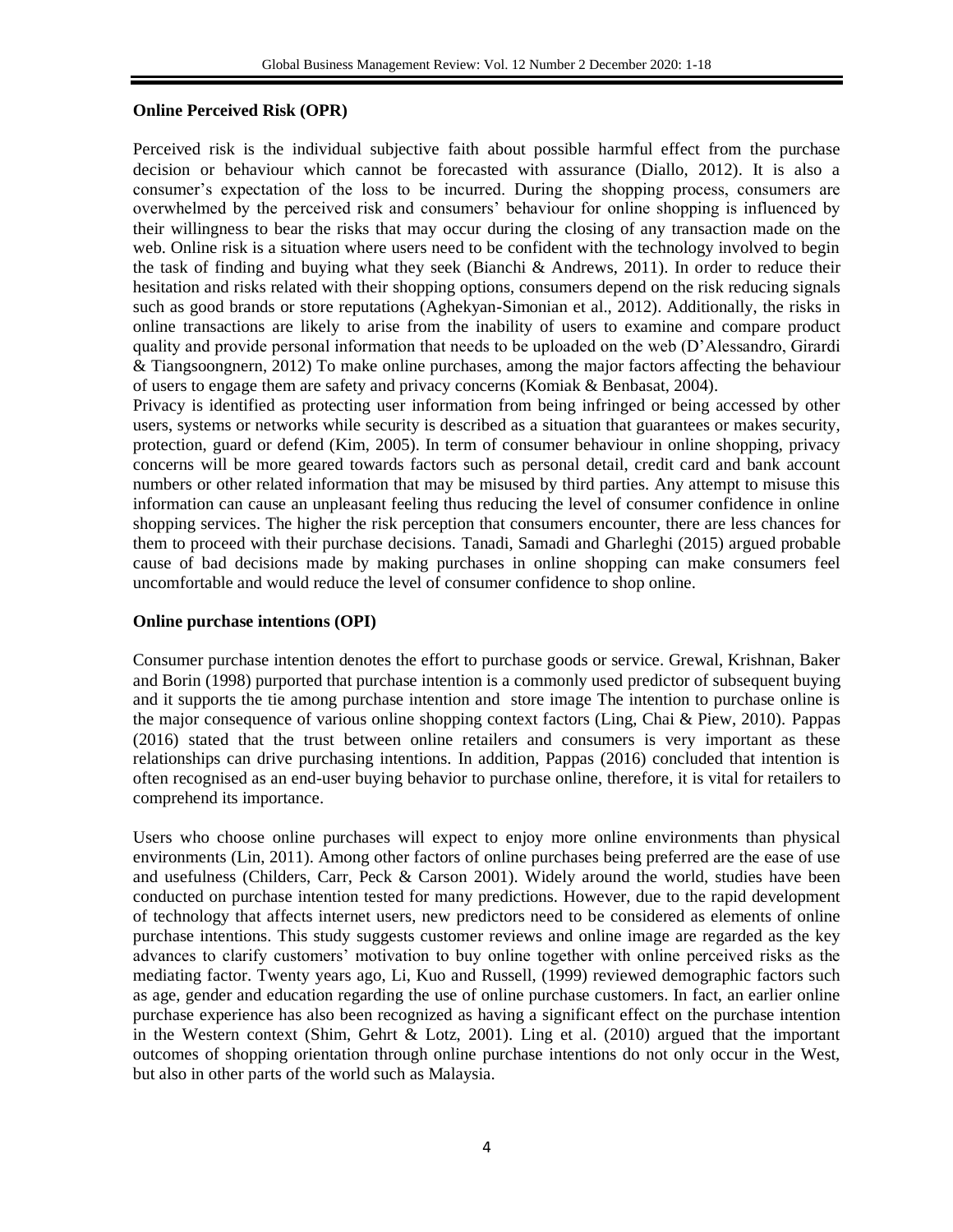### **Online Perceived Risk (OPR)**

Perceived risk is the individual subjective faith about possible harmful effect from the purchase decision or behaviour which cannot be forecasted with assurance (Diallo, 2012). It is also a consumer's expectation of the loss to be incurred. During the shopping process, consumers are overwhelmed by the perceived risk and consumers' behaviour for online shopping is influenced by their willingness to bear the risks that may occur during the closing of any transaction made on the web. Online risk is a situation where users need to be confident with the technology involved to begin the task of finding and buying what they seek (Bianchi & Andrews, 2011). In order to reduce their hesitation and risks related with their shopping options, consumers depend on the risk reducing signals such as good brands or store reputations (Aghekyan-Simonian et al., 2012). Additionally, the risks in online transactions are likely to arise from the inability of users to examine and compare product quality and provide personal information that needs to be uploaded on the web (D'Alessandro, Girardi & Tiangsoongnern, 2012) To make online purchases, among the major factors affecting the behaviour of users to engage them are safety and privacy concerns (Komiak & Benbasat, 2004).

Privacy is identified as protecting user information from being infringed or being accessed by other users, systems or networks while security is described as a situation that guarantees or makes security, protection, guard or defend (Kim, 2005). In term of consumer behaviour in online shopping, privacy concerns will be more geared towards factors such as personal detail, credit card and bank account numbers or other related information that may be misused by third parties. Any attempt to misuse this information can cause an unpleasant feeling thus reducing the level of consumer confidence in online shopping services. The higher the risk perception that consumers encounter, there are less chances for them to proceed with their purchase decisions. Tanadi, Samadi and Gharleghi (2015) argued probable cause of bad decisions made by making purchases in online shopping can make consumers feel uncomfortable and would reduce the level of consumer confidence to shop online.

### **Online purchase intentions (OPI)**

Consumer purchase intention denotes the effort to purchase goods or service. Grewal, Krishnan, Baker and Borin (1998) purported that purchase intention is a commonly used predictor of subsequent buying and it supports the tie among purchase intention and store image The intention to purchase online is the major consequence of various online shopping context factors (Ling, Chai & Piew, 2010). Pappas (2016) stated that the trust between online retailers and consumers is very important as these relationships can drive purchasing intentions. In addition, Pappas (2016) concluded that intention is often recognised as an end-user buying behavior to purchase online, therefore, it is vital for retailers to comprehend its importance.

Users who choose online purchases will expect to enjoy more online environments than physical environments (Lin, 2011). Among other factors of online purchases being preferred are the ease of use and usefulness (Childers, Carr, Peck  $& Carson 2001$ ). Widely around the world, studies have been conducted on purchase intention tested for many predictions. However, due to the rapid development of technology that affects internet users, new predictors need to be considered as elements of online purchase intentions. This study suggests customer reviews and online image are regarded as the key advances to clarify customers' motivation to buy online together with online perceived risks as the mediating factor. Twenty years ago, Li, Kuo and Russell, (1999) reviewed demographic factors such as age, gender and education regarding the use of online purchase customers. In fact, an earlier online purchase experience has also been recognized as having a significant effect on the purchase intention in the Western context (Shim, Gehrt & Lotz, 2001). Ling et al. (2010) argued that the important outcomes of shopping orientation through online purchase intentions do not only occur in the West, but also in other parts of the world such as Malaysia.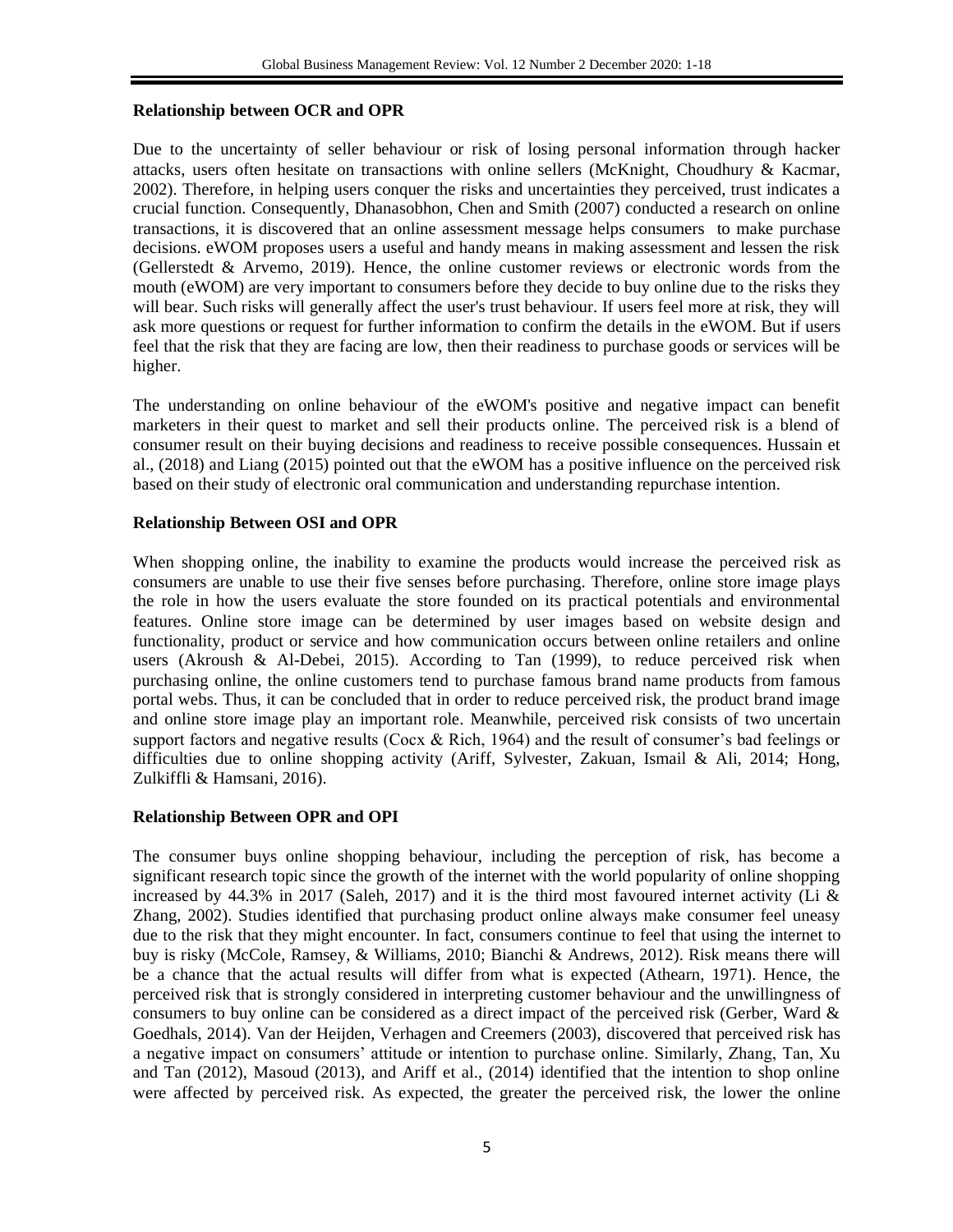### **Relationship between OCR and OPR**

Due to the uncertainty of seller behaviour or risk of losing personal information through hacker attacks, users often hesitate on transactions with online sellers (McKnight, Choudhury & Kacmar, 2002). Therefore, in helping users conquer the risks and uncertainties they perceived, trust indicates a crucial function. Consequently, Dhanasobhon, Chen and Smith (2007) conducted a research on online transactions, it is discovered that an online assessment message helps consumers to make purchase decisions. eWOM proposes users a useful and handy means in making assessment and lessen the risk (Gellerstedt  $\&$  Arvemo, 2019). Hence, the online customer reviews or electronic words from the mouth (eWOM) are very important to consumers before they decide to buy online due to the risks they will bear. Such risks will generally affect the user's trust behaviour. If users feel more at risk, they will ask more questions or request for further information to confirm the details in the eWOM. But if users feel that the risk that they are facing are low, then their readiness to purchase goods or services will be higher.

The understanding on online behaviour of the eWOM's positive and negative impact can benefit marketers in their quest to market and sell their products online. The perceived risk is a blend of consumer result on their buying decisions and readiness to receive possible consequences. Hussain et al., (2018) and Liang (2015) pointed out that the eWOM has a positive influence on the perceived risk based on their study of electronic oral communication and understanding repurchase intention.

## **Relationship Between OSI and OPR**

When shopping online, the inability to examine the products would increase the perceived risk as consumers are unable to use their five senses before purchasing. Therefore, online store image plays the role in how the users evaluate the store founded on its practical potentials and environmental features. Online store image can be determined by user images based on website design and functionality, product or service and how communication occurs between online retailers and online users (Akroush & Al-Debei, 2015). According to Tan (1999), to reduce perceived risk when purchasing online, the online customers tend to purchase famous brand name products from famous portal webs. Thus, it can be concluded that in order to reduce perceived risk, the product brand image and online store image play an important role. Meanwhile, perceived risk consists of two uncertain support factors and negative results (Cocx & Rich, 1964) and the result of consumer's bad feelings or difficulties due to online shopping activity (Ariff, Sylvester, Zakuan, Ismail & Ali, 2014; Hong, Zulkiffli & Hamsani, 2016).

## **Relationship Between OPR and OPI**

The consumer buys online shopping behaviour, including the perception of risk, has become a significant research topic since the growth of the internet with the world popularity of online shopping increased by 44.3% in 2017 (Saleh, 2017) and it is the third most favoured internet activity (Li & Zhang, 2002). Studies identified that purchasing product online always make consumer feel uneasy due to the risk that they might encounter. In fact, consumers continue to feel that using the internet to buy is risky (McCole, Ramsey, & Williams, 2010; Bianchi & Andrews, 2012). Risk means there will be a chance that the actual results will differ from what is expected (Athearn, 1971). Hence, the perceived risk that is strongly considered in interpreting customer behaviour and the unwillingness of consumers to buy online can be considered as a direct impact of the perceived risk (Gerber, Ward & Goedhals, 2014). Van der Heijden, Verhagen and Creemers (2003), discovered that perceived risk has a negative impact on consumers' attitude or intention to purchase online. Similarly, Zhang, Tan, Xu and Tan (2012), Masoud (2013), and Ariff et al., (2014) identified that the intention to shop online were affected by perceived risk. As expected, the greater the perceived risk, the lower the online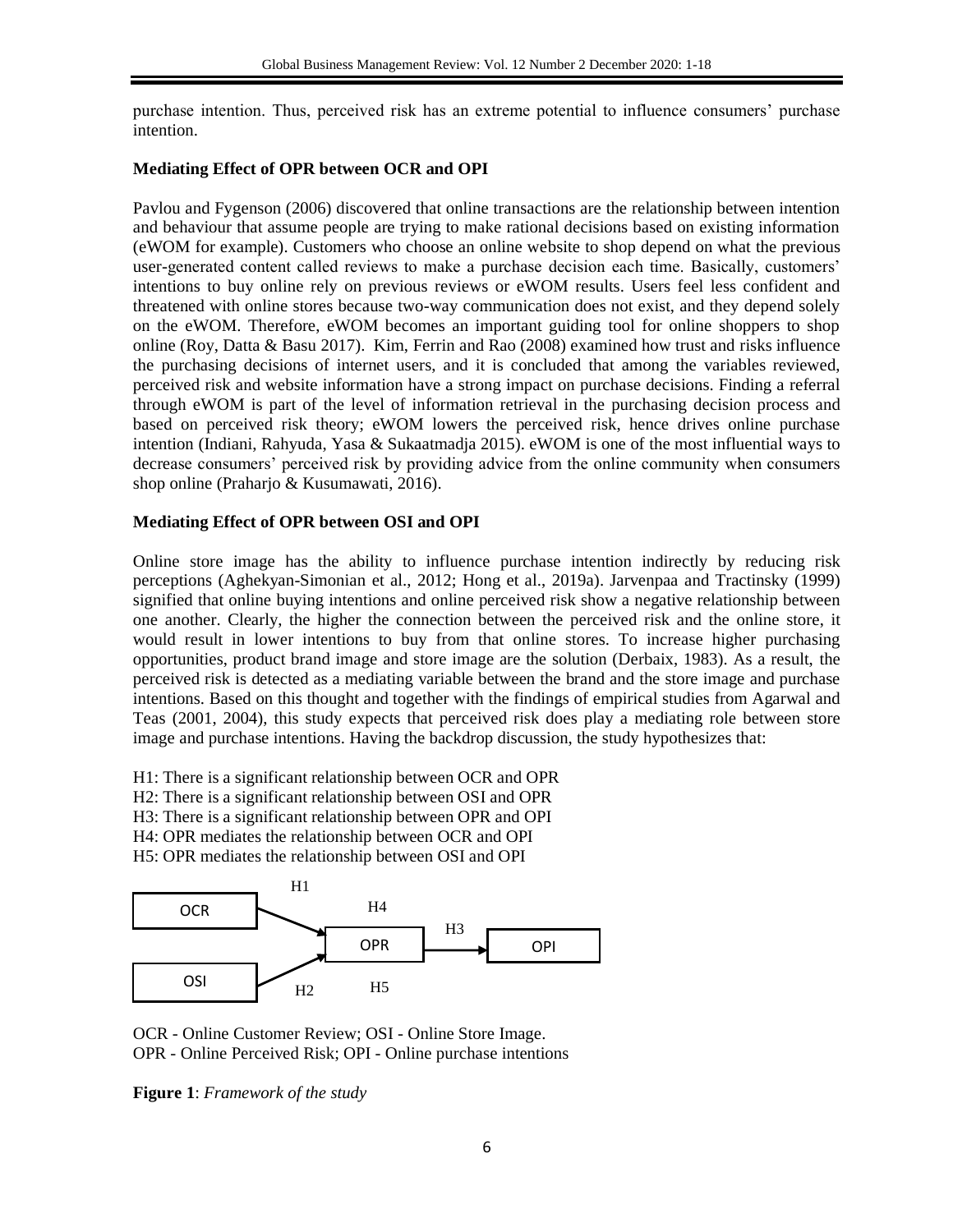purchase intention. Thus, perceived risk has an extreme potential to influence consumers' purchase intention.

## **Mediating Effect of OPR between OCR and OPI**

Pavlou and Fygenson (2006) discovered that online transactions are the relationship between intention and behaviour that assume people are trying to make rational decisions based on existing information (eWOM for example). Customers who choose an online website to shop depend on what the previous user-generated content called reviews to make a purchase decision each time. Basically, customers' intentions to buy online rely on previous reviews or eWOM results. Users feel less confident and threatened with online stores because two-way communication does not exist, and they depend solely on the eWOM. Therefore, eWOM becomes an important guiding tool for online shoppers to shop online (Roy, Datta & Basu 2017). Kim, Ferrin and Rao (2008) examined how trust and risks influence the purchasing decisions of internet users, and it is concluded that among the variables reviewed, perceived risk and website information have a strong impact on purchase decisions. Finding a referral through eWOM is part of the level of information retrieval in the purchasing decision process and based on perceived risk theory; eWOM lowers the perceived risk, hence drives online purchase intention (Indiani, Rahyuda, Yasa & Sukaatmadja 2015). eWOM is one of the most influential ways to decrease consumers' perceived risk by providing advice from the online community when consumers shop online (Praharjo & Kusumawati, 2016).

## **Mediating Effect of OPR between OSI and OPI**

Online store image has the ability to influence purchase intention indirectly by reducing risk perceptions (Aghekyan-Simonian et al., 2012; Hong et al., 2019a). Jarvenpaa and Tractinsky (1999) signified that online buying intentions and online perceived risk show a negative relationship between one another. Clearly, the higher the connection between the perceived risk and the online store, it would result in lower intentions to buy from that online stores. To increase higher purchasing opportunities, product brand image and store image are the solution (Derbaix, 1983). As a result, the perceived risk is detected as a mediating variable between the brand and the store image and purchase intentions. Based on this thought and together with the findings of empirical studies from Agarwal and Teas (2001, 2004), this study expects that perceived risk does play a mediating role between store image and purchase intentions. Having the backdrop discussion, the study hypothesizes that:

H1: There is a significant relationship between OCR and OPR

- H2: There is a significant relationship between OSI and OPR
- H3: There is a significant relationship between OPR and OPI
- H4: OPR mediates the relationship between OCR and OPI
- H5: OPR mediates the relationship between OSI and OPI



OCR - Online Customer Review; OSI - Online Store Image. OPR - Online Perceived Risk; OPI - Online purchase intentions

**Figure 1**: *Framework of the study*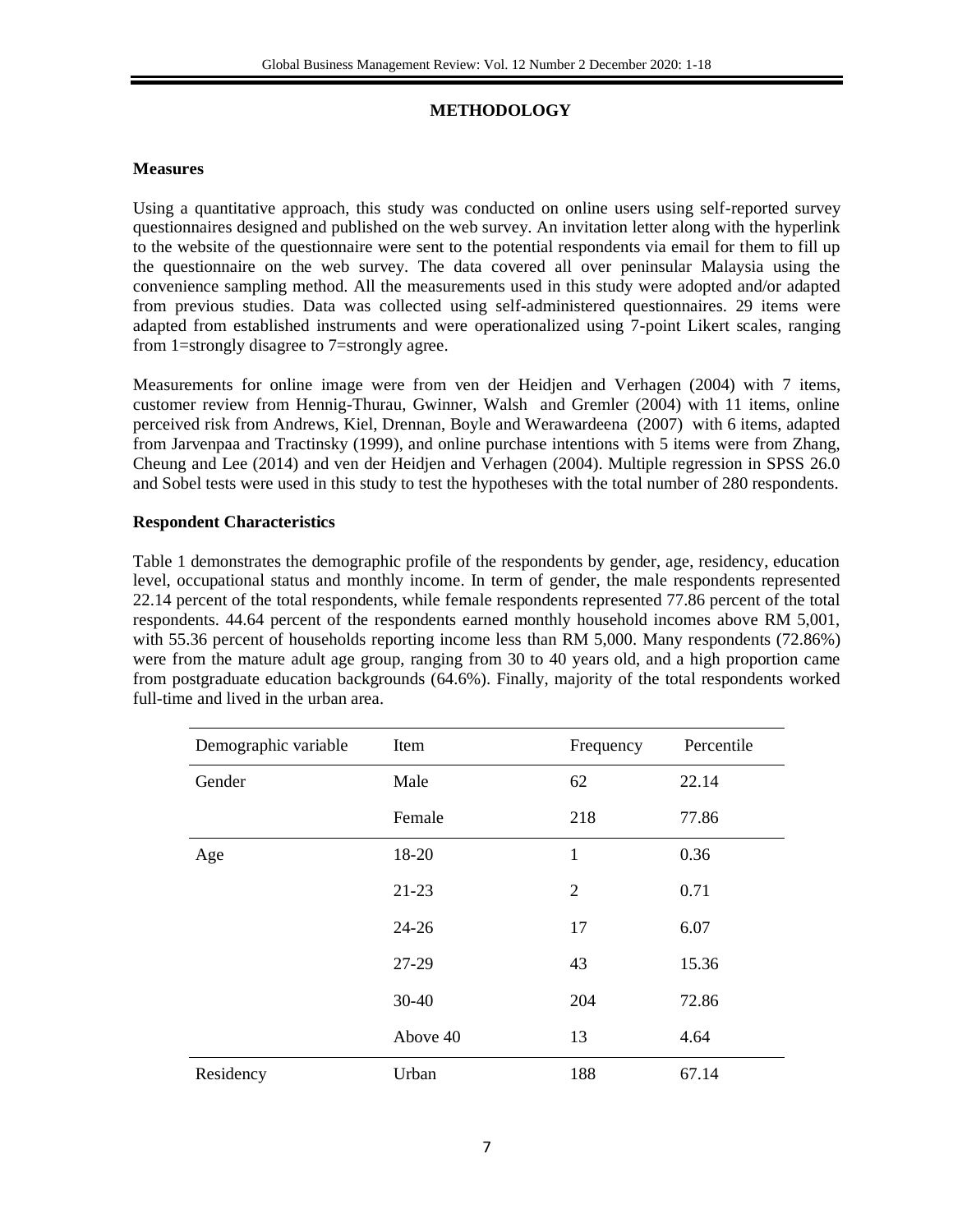## **METHODOLOGY**

## **Measures**

Using a quantitative approach, this study was conducted on online users using self-reported survey questionnaires designed and published on the web survey. An invitation letter along with the hyperlink to the website of the questionnaire were sent to the potential respondents via email for them to fill up the questionnaire on the web survey. The data covered all over peninsular Malaysia using the convenience sampling method. All the measurements used in this study were adopted and/or adapted from previous studies. Data was collected using self-administered questionnaires. 29 items were adapted from established instruments and were operationalized using 7-point Likert scales, ranging from 1=strongly disagree to 7=strongly agree.

Measurements for online image were from ven der Heidjen and Verhagen (2004) with 7 items, customer review from Hennig-Thurau, Gwinner, Walsh and Gremler (2004) with 11 items, online perceived risk from Andrews, Kiel, Drennan, Boyle and Werawardeena (2007) with 6 items, adapted from Jarvenpaa and Tractinsky (1999), and online purchase intentions with 5 items were from Zhang, Cheung and Lee (2014) and ven der Heidjen and Verhagen (2004). Multiple regression in SPSS 26.0 and Sobel tests were used in this study to test the hypotheses with the total number of 280 respondents.

## **Respondent Characteristics**

Table 1 demonstrates the demographic profile of the respondents by gender, age, residency, education level, occupational status and monthly income. In term of gender, the male respondents represented 22.14 percent of the total respondents, while female respondents represented 77.86 percent of the total respondents. 44.64 percent of the respondents earned monthly household incomes above RM 5,001, with 55.36 percent of households reporting income less than RM 5,000. Many respondents (72.86%) were from the mature adult age group, ranging from 30 to 40 years old, and a high proportion came from postgraduate education backgrounds (64.6%). Finally, majority of the total respondents worked full-time and lived in the urban area.

| Demographic variable | Item      | Frequency      | Percentile |
|----------------------|-----------|----------------|------------|
| Gender               | Male      | 62             | 22.14      |
|                      | Female    | 218            | 77.86      |
| Age                  | 18-20     | $\mathbf{1}$   | 0.36       |
|                      | $21-23$   | $\overline{2}$ | 0.71       |
|                      | $24 - 26$ | 17             | 6.07       |
|                      | 27-29     | 43             | 15.36      |
|                      | $30 - 40$ | 204            | 72.86      |
|                      | Above 40  | 13             | 4.64       |
| Residency            | Urban     | 188            | 67.14      |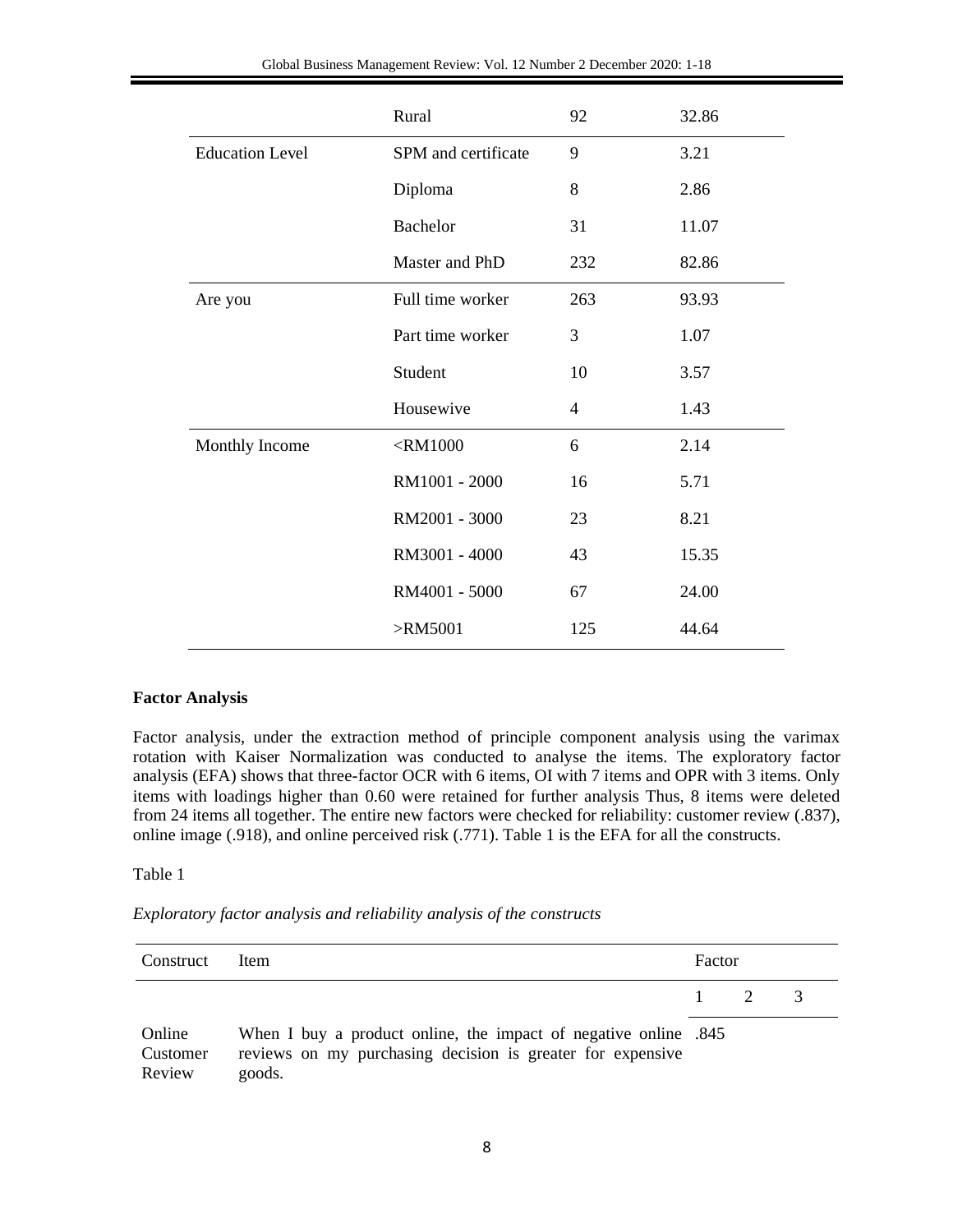| Global Business Management Review: Vol. 12 Number 2 December 2020: 1-18 |  |
|-------------------------------------------------------------------------|--|
|-------------------------------------------------------------------------|--|

|                        | Rural               | 92             | 32.86 |
|------------------------|---------------------|----------------|-------|
| <b>Education Level</b> | SPM and certificate | 9              | 3.21  |
|                        | Diploma             | 8              | 2.86  |
|                        | Bachelor            | 31             | 11.07 |
|                        | Master and PhD      | 232            | 82.86 |
| Are you                | Full time worker    | 263            | 93.93 |
|                        | Part time worker    | 3              | 1.07  |
|                        | Student             | 10             | 3.57  |
|                        | Housewive           | $\overline{4}$ | 1.43  |
| Monthly Income         | $<$ RM1000          | 6              | 2.14  |
|                        | RM1001 - 2000       | 16             | 5.71  |
|                        | RM2001 - 3000       | 23             | 8.21  |
|                        | RM3001 - 4000       | 43             | 15.35 |
|                        | RM4001 - 5000       | 67             | 24.00 |
|                        | $>$ RM5001          | 125            | 44.64 |

#### **Factor Analysis**

Factor analysis, under the extraction method of principle component analysis using the varimax rotation with Kaiser Normalization was conducted to analyse the items. The exploratory factor analysis (EFA) shows that three-factor OCR with 6 items, OI with 7 items and OPR with 3 items. Only items with loadings higher than 0.60 were retained for further analysis Thus, 8 items were deleted from 24 items all together. The entire new factors were checked for reliability: customer review (.837), online image (.918), and online perceived risk (.771). Table 1 is the EFA for all the constructs.

#### Table 1

|  |  |  | Exploratory factor analysis and reliability analysis of the constructs |  |  |  |
|--|--|--|------------------------------------------------------------------------|--|--|--|
|--|--|--|------------------------------------------------------------------------|--|--|--|

| Construct                    | Item                                                                                                                                    |          | Factor         |  |  |
|------------------------------|-----------------------------------------------------------------------------------------------------------------------------------------|----------|----------------|--|--|
|                              |                                                                                                                                         | $\sim$ 1 | $\overline{2}$ |  |  |
| Online<br>Customer<br>Review | When I buy a product online, the impact of negative online .845<br>reviews on my purchasing decision is greater for expensive<br>goods. |          |                |  |  |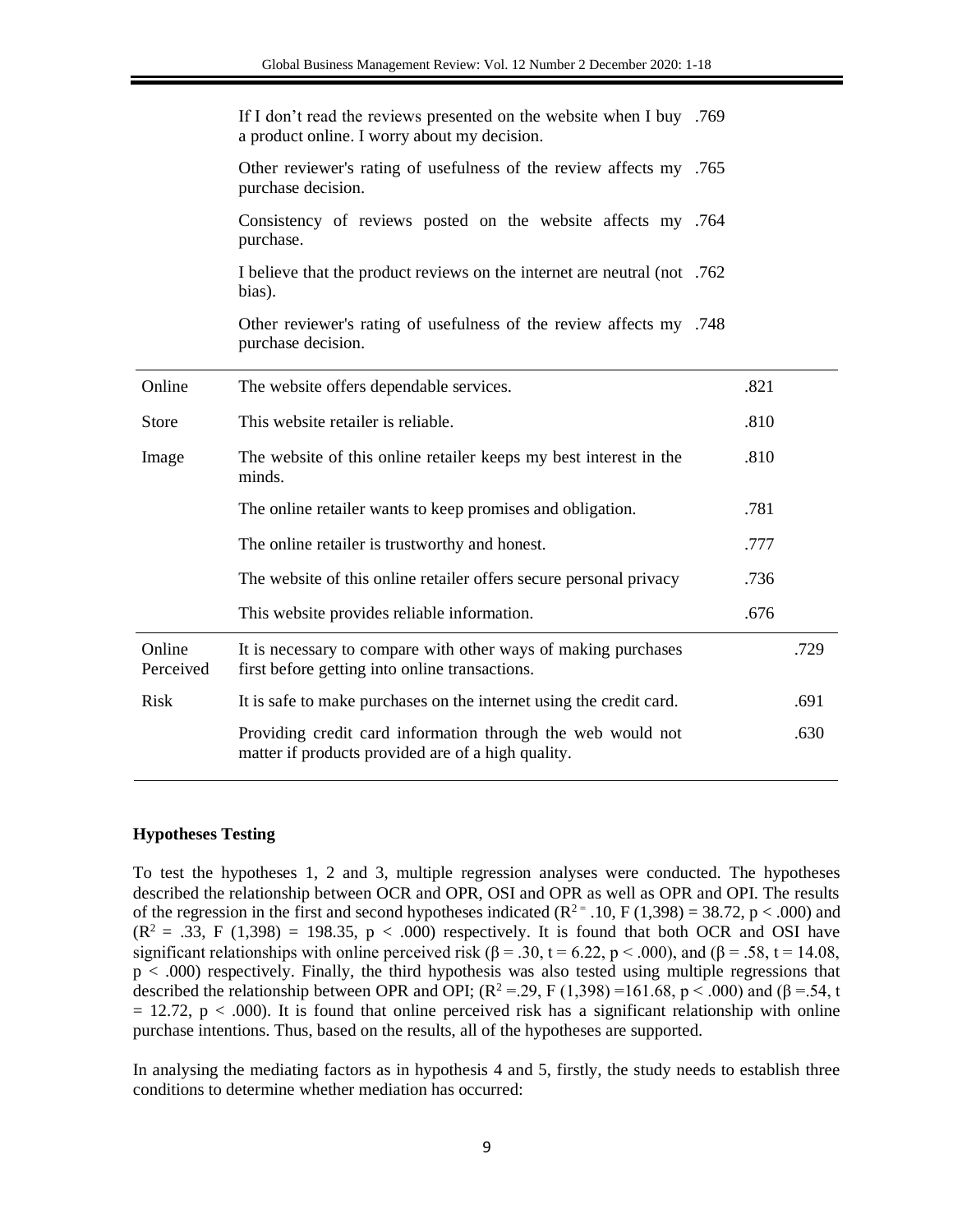| Other reviewer's rating of usefulness of the review affects my .765<br>purchase decision.<br>Consistency of reviews posted on the website affects my .764<br>purchase.<br>T believe that the product reviews on the internet are neutral (not .762)<br>bias).<br>Other reviewer's rating of usefulness of the review affects my .748<br>purchase decision.<br>Online<br>The website offers dependable services.<br>.821<br>This website retailer is reliable.<br><b>Store</b><br>.810<br>The website of this online retailer keeps my best interest in the<br>.810<br>Image<br>minds.<br>.781<br>The online retailer wants to keep promises and obligation.<br>The online retailer is trustworthy and honest.<br>.777<br>The website of this online retailer offers secure personal privacy<br>.736<br>.676<br>This website provides reliable information.<br>Online<br>It is necessary to compare with other ways of making purchases<br>.729<br>first before getting into online transactions.<br>Perceived<br><b>Risk</b><br>.691<br>It is safe to make purchases on the internet using the credit card.<br>Providing credit card information through the web would not<br>.630<br>matter if products provided are of a high quality. | 169. If I don't read the reviews presented on the website when I buy<br>a product online. I worry about my decision. |  |  |
|------------------------------------------------------------------------------------------------------------------------------------------------------------------------------------------------------------------------------------------------------------------------------------------------------------------------------------------------------------------------------------------------------------------------------------------------------------------------------------------------------------------------------------------------------------------------------------------------------------------------------------------------------------------------------------------------------------------------------------------------------------------------------------------------------------------------------------------------------------------------------------------------------------------------------------------------------------------------------------------------------------------------------------------------------------------------------------------------------------------------------------------------------------------------------------------------------------------------------------------|----------------------------------------------------------------------------------------------------------------------|--|--|
|                                                                                                                                                                                                                                                                                                                                                                                                                                                                                                                                                                                                                                                                                                                                                                                                                                                                                                                                                                                                                                                                                                                                                                                                                                          |                                                                                                                      |  |  |
|                                                                                                                                                                                                                                                                                                                                                                                                                                                                                                                                                                                                                                                                                                                                                                                                                                                                                                                                                                                                                                                                                                                                                                                                                                          |                                                                                                                      |  |  |
|                                                                                                                                                                                                                                                                                                                                                                                                                                                                                                                                                                                                                                                                                                                                                                                                                                                                                                                                                                                                                                                                                                                                                                                                                                          |                                                                                                                      |  |  |
|                                                                                                                                                                                                                                                                                                                                                                                                                                                                                                                                                                                                                                                                                                                                                                                                                                                                                                                                                                                                                                                                                                                                                                                                                                          |                                                                                                                      |  |  |
|                                                                                                                                                                                                                                                                                                                                                                                                                                                                                                                                                                                                                                                                                                                                                                                                                                                                                                                                                                                                                                                                                                                                                                                                                                          |                                                                                                                      |  |  |
|                                                                                                                                                                                                                                                                                                                                                                                                                                                                                                                                                                                                                                                                                                                                                                                                                                                                                                                                                                                                                                                                                                                                                                                                                                          |                                                                                                                      |  |  |
|                                                                                                                                                                                                                                                                                                                                                                                                                                                                                                                                                                                                                                                                                                                                                                                                                                                                                                                                                                                                                                                                                                                                                                                                                                          |                                                                                                                      |  |  |
|                                                                                                                                                                                                                                                                                                                                                                                                                                                                                                                                                                                                                                                                                                                                                                                                                                                                                                                                                                                                                                                                                                                                                                                                                                          |                                                                                                                      |  |  |
|                                                                                                                                                                                                                                                                                                                                                                                                                                                                                                                                                                                                                                                                                                                                                                                                                                                                                                                                                                                                                                                                                                                                                                                                                                          |                                                                                                                      |  |  |
|                                                                                                                                                                                                                                                                                                                                                                                                                                                                                                                                                                                                                                                                                                                                                                                                                                                                                                                                                                                                                                                                                                                                                                                                                                          |                                                                                                                      |  |  |
|                                                                                                                                                                                                                                                                                                                                                                                                                                                                                                                                                                                                                                                                                                                                                                                                                                                                                                                                                                                                                                                                                                                                                                                                                                          |                                                                                                                      |  |  |
|                                                                                                                                                                                                                                                                                                                                                                                                                                                                                                                                                                                                                                                                                                                                                                                                                                                                                                                                                                                                                                                                                                                                                                                                                                          |                                                                                                                      |  |  |
|                                                                                                                                                                                                                                                                                                                                                                                                                                                                                                                                                                                                                                                                                                                                                                                                                                                                                                                                                                                                                                                                                                                                                                                                                                          |                                                                                                                      |  |  |
|                                                                                                                                                                                                                                                                                                                                                                                                                                                                                                                                                                                                                                                                                                                                                                                                                                                                                                                                                                                                                                                                                                                                                                                                                                          |                                                                                                                      |  |  |

### **Hypotheses Testing**

To test the hypotheses 1, 2 and 3, multiple regression analyses were conducted. The hypotheses described the relationship between OCR and OPR, OSI and OPR as well as OPR and OPI. The results of the regression in the first and second hypotheses indicated  $(R^{2} = .10, F(1,398) = 38.72, p < .000)$  and  $(R^2 = .33, F (1,398) = 198.35, p < .000)$  respectively. It is found that both OCR and OSI have significant relationships with online perceived risk ( $\beta$  = .30, t = 6.22, p < .000), and ( $\beta$  = .58, t = 14.08, p < .000) respectively. Finally, the third hypothesis was also tested using multiple regressions that described the relationship between OPR and OPI;  $(R^2 = .29, F(1,398) = 161.68, p < .000)$  and  $(\beta = .54, t$  $= 12.72$ ,  $p < .000$ ). It is found that online perceived risk has a significant relationship with online purchase intentions. Thus, based on the results, all of the hypotheses are supported.

In analysing the mediating factors as in hypothesis 4 and 5, firstly, the study needs to establish three conditions to determine whether mediation has occurred: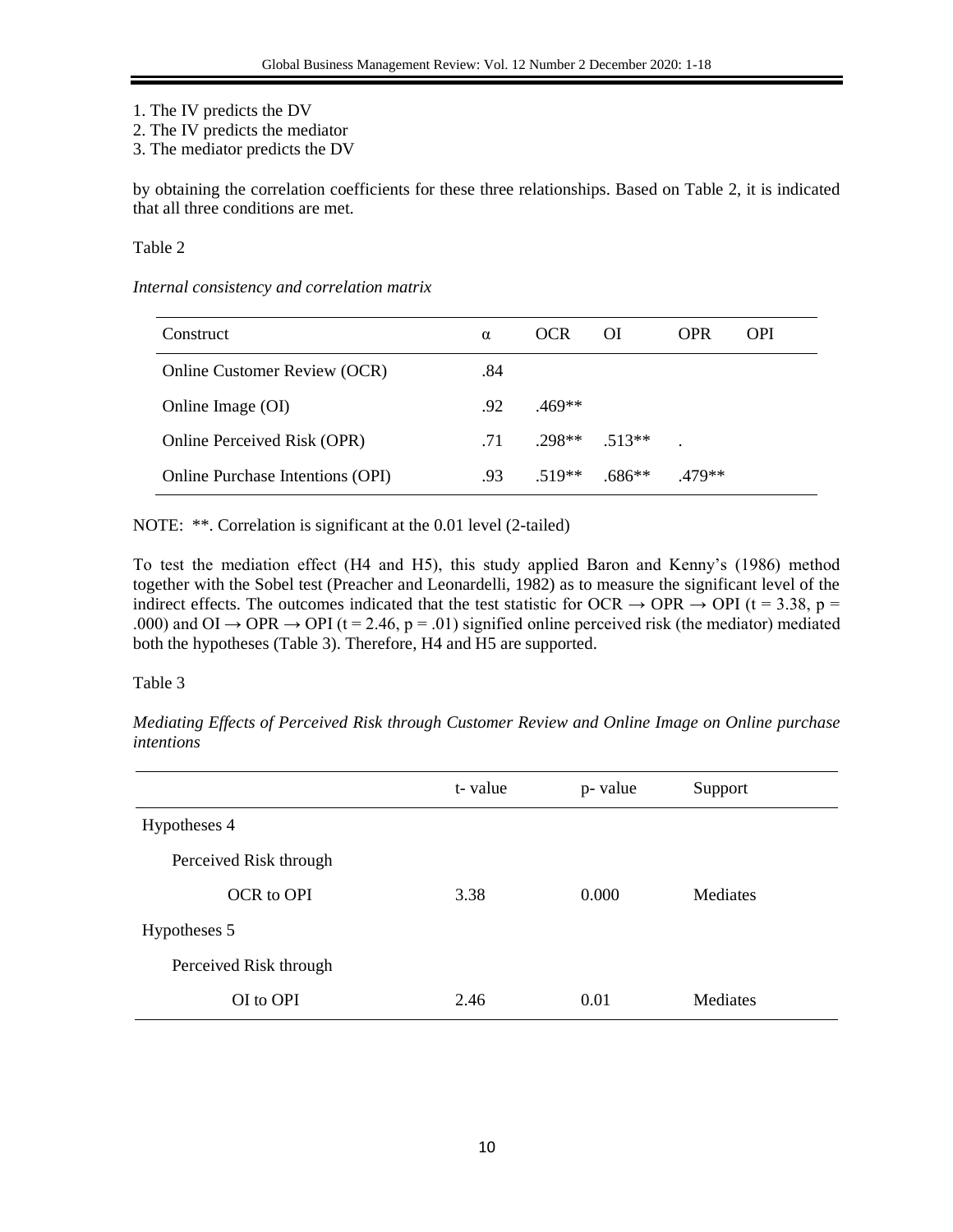- 1. The IV predicts the DV
- 2. The IV predicts the mediator
- 3. The mediator predicts the DV

by obtaining the correlation coefficients for these three relationships. Based on Table 2, it is indicated that all three conditions are met.

Table 2

### *Internal consistency and correlation matrix*

| Construct                               | α                | <b>OCR</b>    | ΟI       | <b>OPR</b> | <b>OPI</b> |
|-----------------------------------------|------------------|---------------|----------|------------|------------|
| Online Customer Review (OCR)            | .84              |               |          |            |            |
| Online Image (OI)                       | .92 <sub>1</sub> | $.469**$      |          |            |            |
| Online Perceived Risk (OPR)             | .71              | $298**$ 513** |          |            |            |
| <b>Online Purchase Intentions (OPI)</b> | .93              | 519**         | $.686**$ | 479**      |            |

NOTE: \*\*. Correlation is significant at the 0.01 level (2-tailed)

To test the mediation effect (H4 and H5), this study applied Baron and Kenny's (1986) method together with the Sobel test (Preacher and Leonardelli, 1982) as to measure the significant level of the indirect effects. The outcomes indicated that the test statistic for OCR  $\rightarrow$  OPR  $\rightarrow$  OPI (t = 3.38, p = .000) and OI  $\rightarrow$  OPR  $\rightarrow$  OPI (t = 2.46, p = .01) signified online perceived risk (the mediator) mediated both the hypotheses (Table 3). Therefore, H4 and H5 are supported.

## Table 3

*Mediating Effects of Perceived Risk through Customer Review and Online Image on Online purchase intentions*

|                        | t-value | p- value | Support  |
|------------------------|---------|----------|----------|
| Hypotheses 4           |         |          |          |
| Perceived Risk through |         |          |          |
| OCR to OPI             | 3.38    | 0.000    | Mediates |
| Hypotheses 5           |         |          |          |
| Perceived Risk through |         |          |          |
| OI to OPI              | 2.46    | 0.01     | Mediates |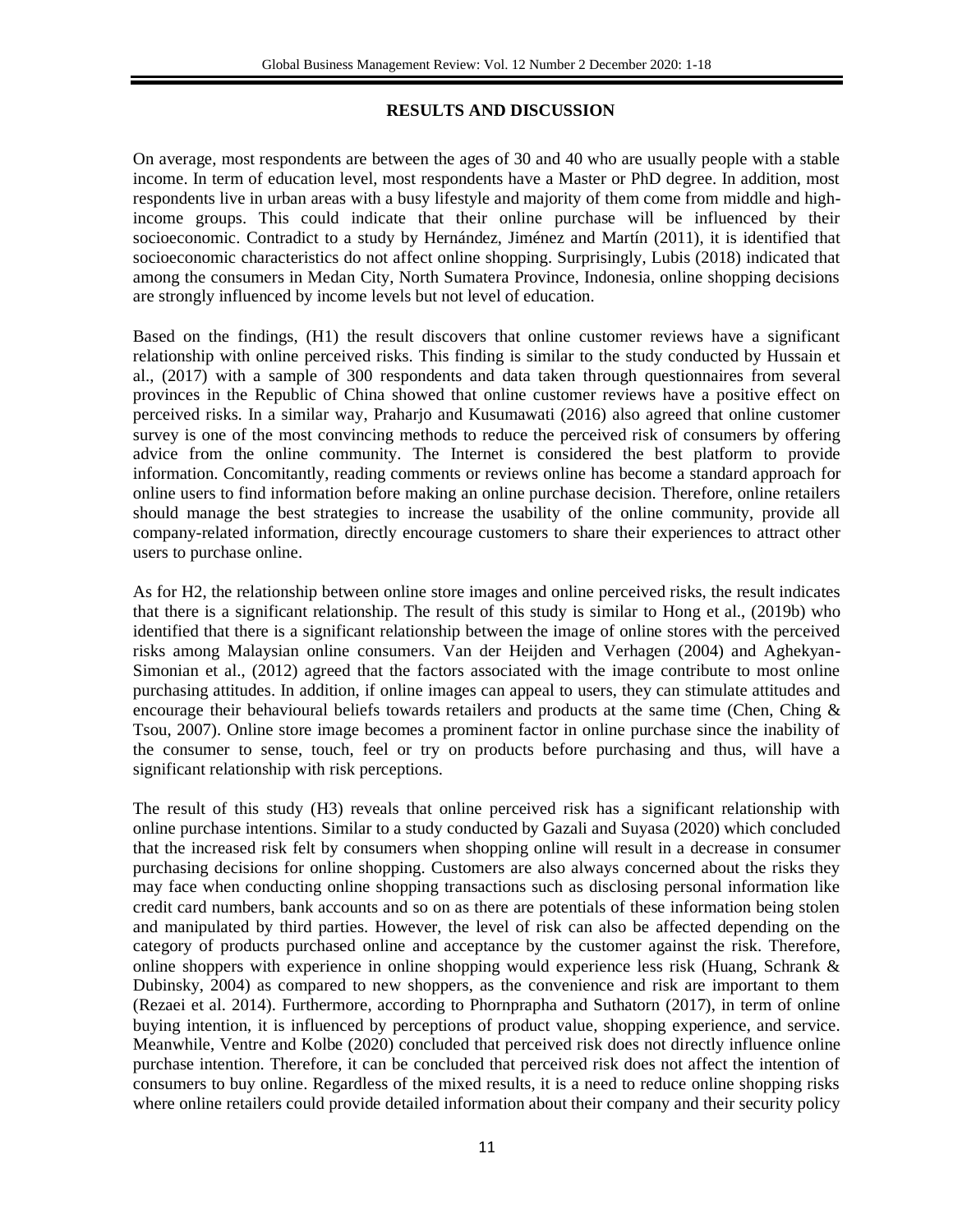## **RESULTS AND DISCUSSION**

On average, most respondents are between the ages of 30 and 40 who are usually people with a stable income. In term of education level, most respondents have a Master or PhD degree. In addition, most respondents live in urban areas with a busy lifestyle and majority of them come from middle and highincome groups. This could indicate that their online purchase will be influenced by their socioeconomic. Contradict to a study by Hernández, Jiménez and Martín (2011), it is identified that socioeconomic characteristics do not affect online shopping. Surprisingly, Lubis (2018) indicated that among the consumers in Medan City, North Sumatera Province, Indonesia, online shopping decisions are strongly influenced by income levels but not level of education.

Based on the findings, (H1) the result discovers that online customer reviews have a significant relationship with online perceived risks. This finding is similar to the study conducted by Hussain et al., (2017) with a sample of 300 respondents and data taken through questionnaires from several provinces in the Republic of China showed that online customer reviews have a positive effect on perceived risks. In a similar way, Praharjo and Kusumawati (2016) also agreed that online customer survey is one of the most convincing methods to reduce the perceived risk of consumers by offering advice from the online community. The Internet is considered the best platform to provide information. Concomitantly, reading comments or reviews online has become a standard approach for online users to find information before making an online purchase decision. Therefore, online retailers should manage the best strategies to increase the usability of the online community, provide all company-related information, directly encourage customers to share their experiences to attract other users to purchase online.

As for H2, the relationship between online store images and online perceived risks, the result indicates that there is a significant relationship. The result of this study is similar to Hong et al., (2019b) who identified that there is a significant relationship between the image of online stores with the perceived risks among Malaysian online consumers. Van der Heijden and Verhagen (2004) and Aghekyan-Simonian et al., (2012) agreed that the factors associated with the image contribute to most online purchasing attitudes. In addition, if online images can appeal to users, they can stimulate attitudes and encourage their behavioural beliefs towards retailers and products at the same time (Chen, Ching  $\&$ Tsou, 2007). Online store image becomes a prominent factor in online purchase since the inability of the consumer to sense, touch, feel or try on products before purchasing and thus, will have a significant relationship with risk perceptions.

The result of this study (H3) reveals that online perceived risk has a significant relationship with online purchase intentions. Similar to a study conducted by Gazali and Suyasa (2020) which concluded that the increased risk felt by consumers when shopping online will result in a decrease in consumer purchasing decisions for online shopping. Customers are also always concerned about the risks they may face when conducting online shopping transactions such as disclosing personal information like credit card numbers, bank accounts and so on as there are potentials of these information being stolen and manipulated by third parties. However, the level of risk can also be affected depending on the category of products purchased online and acceptance by the customer against the risk. Therefore, online shoppers with experience in online shopping would experience less risk (Huang, Schrank & Dubinsky, 2004) as compared to new shoppers, as the convenience and risk are important to them (Rezaei et al. 2014). Furthermore, according to Phornprapha and Suthatorn (2017), in term of online buying intention, it is influenced by perceptions of product value, shopping experience, and service. Meanwhile, Ventre and Kolbe (2020) concluded that perceived risk does not directly influence online purchase intention. Therefore, it can be concluded that perceived risk does not affect the intention of consumers to buy online. Regardless of the mixed results, it is a need to reduce online shopping risks where online retailers could provide detailed information about their company and their security policy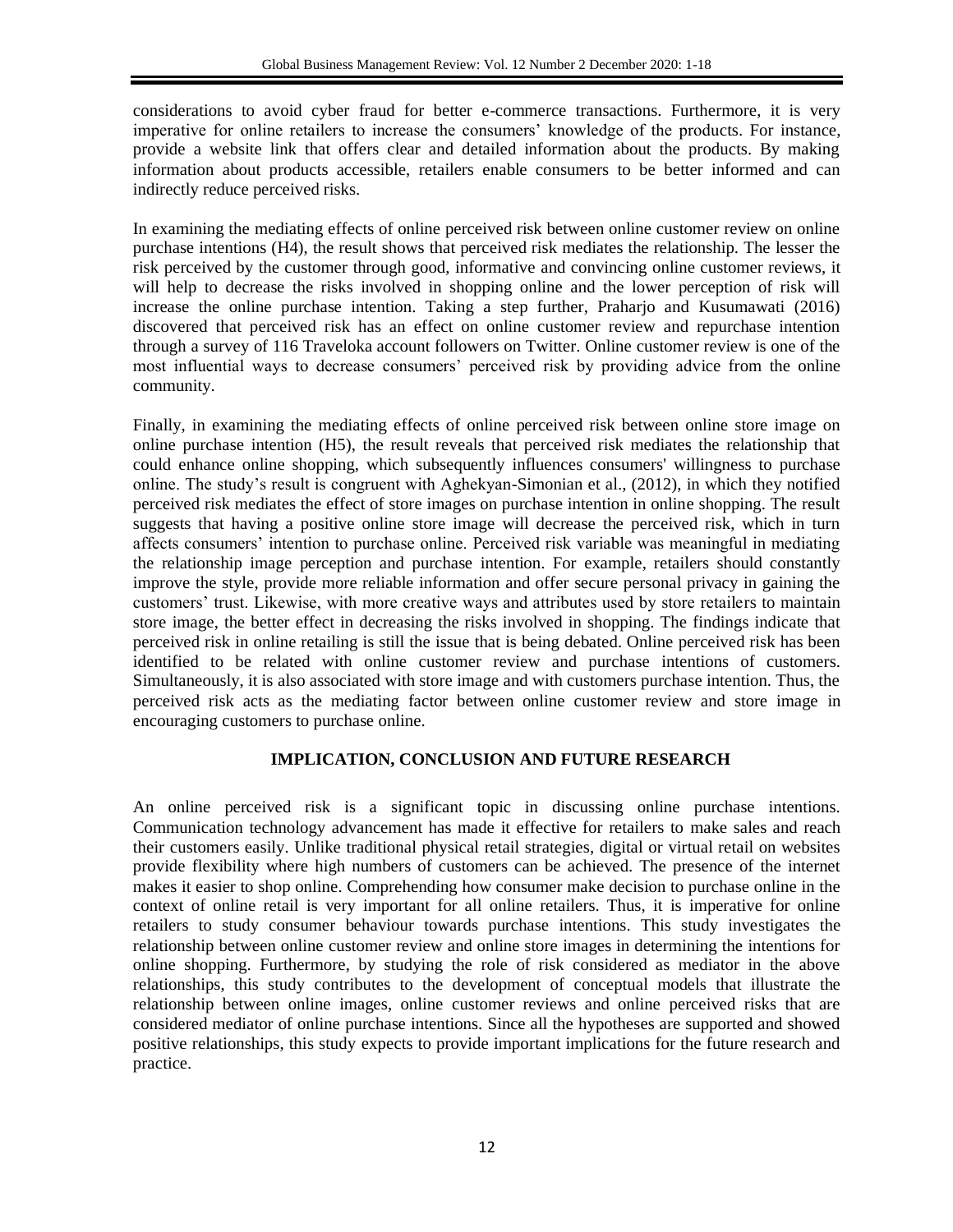considerations to avoid cyber fraud for better e-commerce transactions. Furthermore, it is very imperative for online retailers to increase the consumers' knowledge of the products. For instance, provide a website link that offers clear and detailed information about the products. By making information about products accessible, retailers enable consumers to be better informed and can indirectly reduce perceived risks.

In examining the mediating effects of online perceived risk between online customer review on online purchase intentions (H4), the result shows that perceived risk mediates the relationship. The lesser the risk perceived by the customer through good, informative and convincing online customer reviews, it will help to decrease the risks involved in shopping online and the lower perception of risk will increase the online purchase intention. Taking a step further, Praharjo and Kusumawati (2016) discovered that perceived risk has an effect on online customer review and repurchase intention through a survey of 116 Traveloka account followers on Twitter. Online customer review is one of the most influential ways to decrease consumers' perceived risk by providing advice from the online community.

Finally, in examining the mediating effects of online perceived risk between online store image on online purchase intention (H5), the result reveals that perceived risk mediates the relationship that could enhance online shopping, which subsequently influences consumers' willingness to purchase online. The study's result is congruent with Aghekyan-Simonian et al., (2012), in which they notified perceived risk mediates the effect of store images on purchase intention in online shopping. The result suggests that having a positive online store image will decrease the perceived risk, which in turn affects consumers' intention to purchase online. Perceived risk variable was meaningful in mediating the relationship image perception and purchase intention. For example, retailers should constantly improve the style, provide more reliable information and offer secure personal privacy in gaining the customers' trust. Likewise, with more creative ways and attributes used by store retailers to maintain store image, the better effect in decreasing the risks involved in shopping. The findings indicate that perceived risk in online retailing is still the issue that is being debated. Online perceived risk has been identified to be related with online customer review and purchase intentions of customers. Simultaneously, it is also associated with store image and with customers purchase intention. Thus, the perceived risk acts as the mediating factor between online customer review and store image in encouraging customers to purchase online.

### **IMPLICATION, CONCLUSION AND FUTURE RESEARCH**

An online perceived risk is a significant topic in discussing online purchase intentions. Communication technology advancement has made it effective for retailers to make sales and reach their customers easily. Unlike traditional physical retail strategies, digital or virtual retail on websites provide flexibility where high numbers of customers can be achieved. The presence of the internet makes it easier to shop online. Comprehending how consumer make decision to purchase online in the context of online retail is very important for all online retailers. Thus, it is imperative for online retailers to study consumer behaviour towards purchase intentions. This study investigates the relationship between online customer review and online store images in determining the intentions for online shopping. Furthermore, by studying the role of risk considered as mediator in the above relationships, this study contributes to the development of conceptual models that illustrate the relationship between online images, online customer reviews and online perceived risks that are considered mediator of online purchase intentions. Since all the hypotheses are supported and showed positive relationships, this study expects to provide important implications for the future research and practice.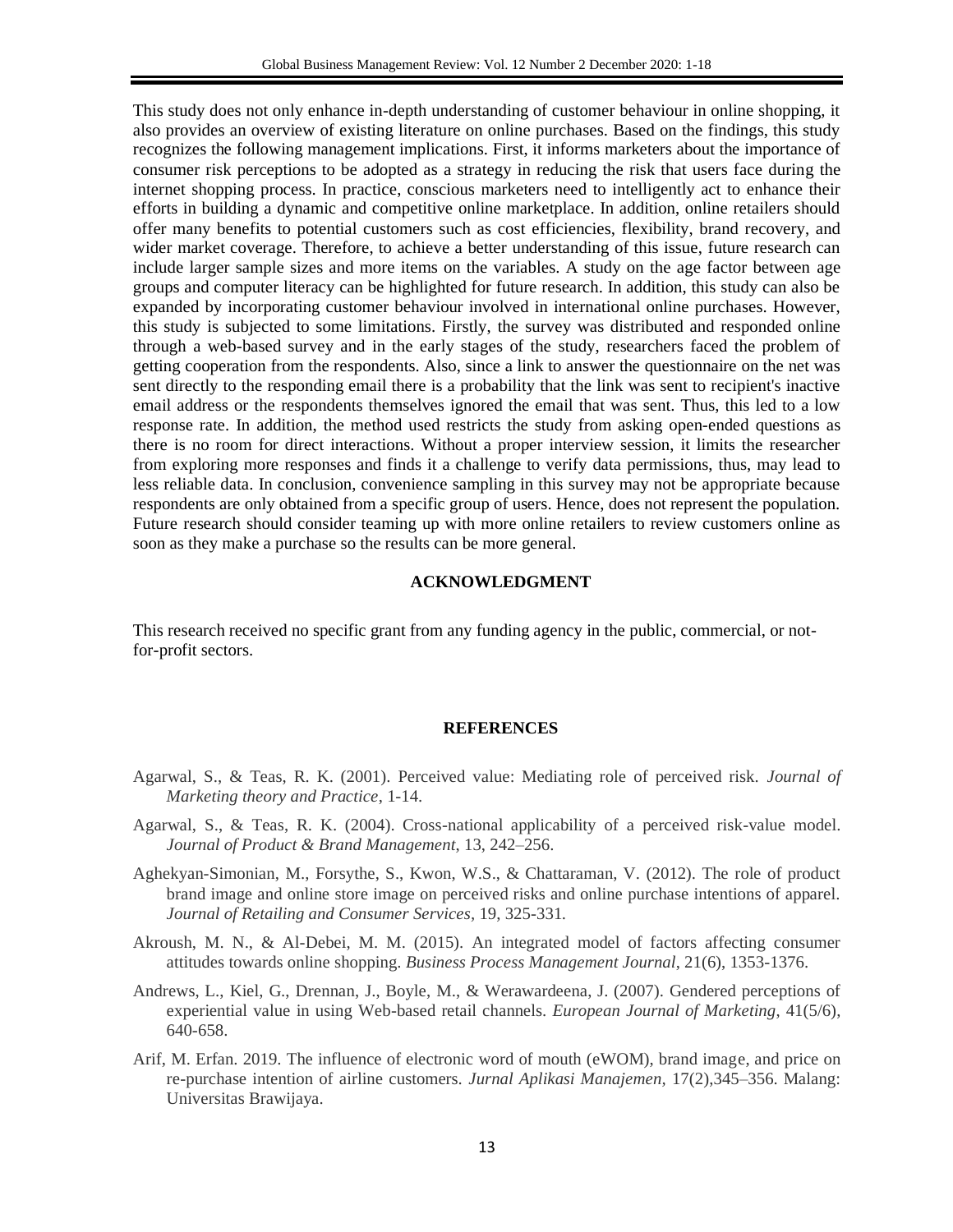This study does not only enhance in-depth understanding of customer behaviour in online shopping, it also provides an overview of existing literature on online purchases. Based on the findings, this study recognizes the following management implications. First, it informs marketers about the importance of consumer risk perceptions to be adopted as a strategy in reducing the risk that users face during the internet shopping process. In practice, conscious marketers need to intelligently act to enhance their efforts in building a dynamic and competitive online marketplace. In addition, online retailers should offer many benefits to potential customers such as cost efficiencies, flexibility, brand recovery, and wider market coverage. Therefore, to achieve a better understanding of this issue, future research can include larger sample sizes and more items on the variables. A study on the age factor between age groups and computer literacy can be highlighted for future research. In addition, this study can also be expanded by incorporating customer behaviour involved in international online purchases. However, this study is subjected to some limitations. Firstly, the survey was distributed and responded online through a web-based survey and in the early stages of the study, researchers faced the problem of getting cooperation from the respondents. Also, since a link to answer the questionnaire on the net was sent directly to the responding email there is a probability that the link was sent to recipient's inactive email address or the respondents themselves ignored the email that was sent. Thus, this led to a low response rate. In addition, the method used restricts the study from asking open-ended questions as there is no room for direct interactions. Without a proper interview session, it limits the researcher from exploring more responses and finds it a challenge to verify data permissions, thus, may lead to less reliable data. In conclusion, convenience sampling in this survey may not be appropriate because respondents are only obtained from a specific group of users. Hence, does not represent the population. Future research should consider teaming up with more online retailers to review customers online as soon as they make a purchase so the results can be more general.

#### **ACKNOWLEDGMENT**

This research received no specific grant from any funding agency in the public, commercial, or notfor-profit sectors.

#### **REFERENCES**

- Agarwal, S., & Teas, R. K. (2001). Perceived value: Mediating role of perceived risk. *Journal of Marketing theory and Practice*, 1-14.
- Agarwal, S., & Teas, R. K. (2004). Cross-national applicability of a perceived risk-value model. *Journal of Product & Brand Management*, 13, 242–256.
- Aghekyan-Simonian, M., Forsythe, S., Kwon, W.S., & Chattaraman, V. (2012). The role of product brand image and online store image on perceived risks and online purchase intentions of apparel. *Journal of Retailing and Consumer Services,* 19, 325-331.
- Akroush, M. N., & Al-Debei, M. M. (2015). An integrated model of factors affecting consumer attitudes towards online shopping. *Business Process Management Journal*, 21(6), 1353-1376.
- Andrews, L., Kiel, G., Drennan, J., Boyle, M., & Werawardeena, J. (2007). Gendered perceptions of experiential value in using Web-based retail channels. *European Journal of Marketing*, 41(5/6), 640-658.
- Arif, M. Erfan. 2019. The influence of electronic word of mouth (eWOM), brand image, and price on re-purchase intention of airline customers. *Jurnal Aplikasi Manajemen,* 17(2),345–356. Malang: Universitas Brawijaya.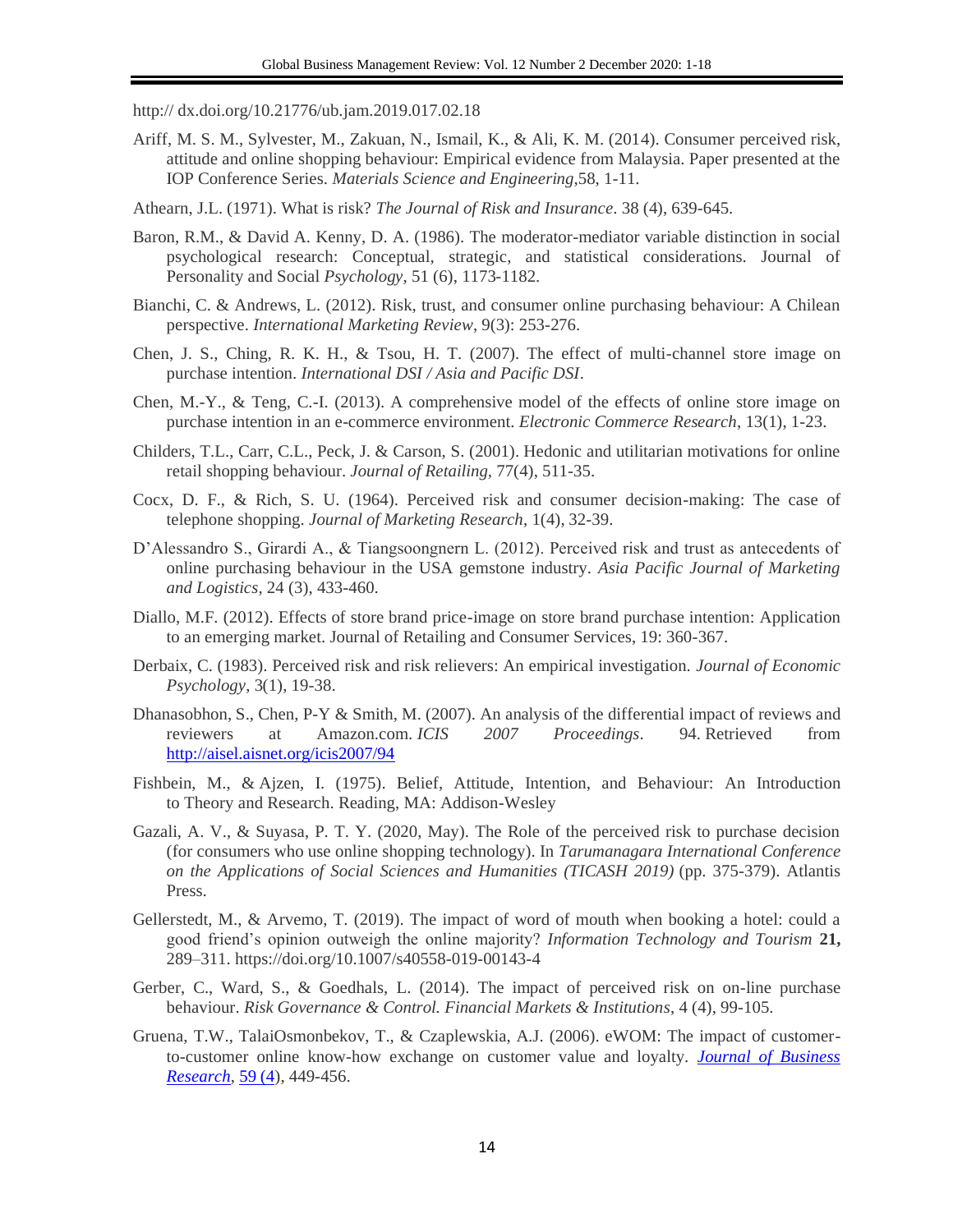http:// dx.doi.org/10.21776/ub.jam.2019.017.02.18

- Ariff, M. S. M., Sylvester, M., Zakuan, N., Ismail, K., & Ali, K. M. (2014). Consumer perceived risk, attitude and online shopping behaviour: Empirical evidence from Malaysia. Paper presented at the IOP Conference Series. *Materials Science and Engineering*,58, 1-11.
- Athearn, J.L. (1971). What is risk? *The Journal of Risk and Insurance*. 38 (4), 639-645.
- Baron, R.M., & David A. Kenny, D. A. (1986). The moderator-mediator variable distinction in social psychological research: Conceptual, strategic, and statistical considerations. Journal of Personality and Social *Psychology*, 51 (6), 1173-1182.
- Bianchi, C. & Andrews, L. (2012). Risk, trust, and consumer online purchasing behaviour: A Chilean perspective. *International Marketing Review*, 9(3): 253-276.
- Chen, J. S., Ching, R. K. H., & Tsou, H. T. (2007). The effect of multi-channel store image on purchase intention. *International DSI / Asia and Pacific DSI*.
- Chen, M.-Y., & Teng, C.-I. (2013). A comprehensive model of the effects of online store image on purchase intention in an e-commerce environment. *Electronic Commerce Research*, 13(1), 1-23.
- Childers, T.L., Carr, C.L., Peck, J. & Carson, S. (2001). Hedonic and utilitarian motivations for online retail shopping behaviour. *Journal of Retailing,* 77(4), 511-35.
- Cocx, D. F., & Rich, S. U. (1964). Perceived risk and consumer decision-making: The case of telephone shopping. *Journal of Marketing Research*, 1(4), 32-39.
- D'Alessandro S., Girardi A., & Tiangsoongnern L. (2012). Perceived risk and trust as antecedents of online purchasing behaviour in the USA gemstone industry. *Asia Pacific Journal of Marketing and Logistics,* 24 (3), 433-460.
- Diallo, M.F. (2012). Effects of store brand price-image on store brand purchase intention: Application to an emerging market. Journal of Retailing and Consumer Services, 19: 360-367.
- Derbaix, C. (1983). Perceived risk and risk relievers: An empirical investigation. *Journal of Economic Psychology*, 3(1), 19-38.
- Dhanasobhon, S., Chen, P-Y & Smith, M. (2007). An analysis of the differential impact of reviews and reviewers at Amazon.com. *ICIS 2007 Proceedings*. 94. Retrieved from <http://aisel.aisnet.org/icis2007/94>
- Fishbein, M., & Ajzen, I. (1975). Belief, Attitude, Intention, and Behaviour: An Introduction to Theory and Research. Reading, MA: Addison-Wesley
- Gazali, A. V., & Suyasa, P. T. Y. (2020, May). The Role of the perceived risk to purchase decision (for consumers who use online shopping technology). In *Tarumanagara International Conference on the Applications of Social Sciences and Humanities (TICASH 2019)* (pp. 375-379). Atlantis Press.
- Gellerstedt, M., & Arvemo, T. (2019). The impact of word of mouth when booking a hotel: could a good friend's opinion outweigh the online majority? *Information Technology and Tourism* **21,**  289–311. https://doi.org/10.1007/s40558-019-00143-4
- Gerber, C., Ward, S., & Goedhals, L. (2014). The impact of perceived risk on on-line purchase behaviour. *Risk Governance & Control. Financial Markets & Institutions*, 4 (4), 99-105.
- Gruena, T.W., TalaiOsmonbekov, T., & Czaplewskia, A.J. (2006). eWOM: The impact of customerto-customer online know-how exchange on customer value and loyalty. *[Journal of Business](https://www.sciencedirect.com/science/journal/01482963)  [Research](https://www.sciencedirect.com/science/journal/01482963)*[, 59 \(4\)](https://www.sciencedirect.com/science/journal/01482963/59/4), 449-456.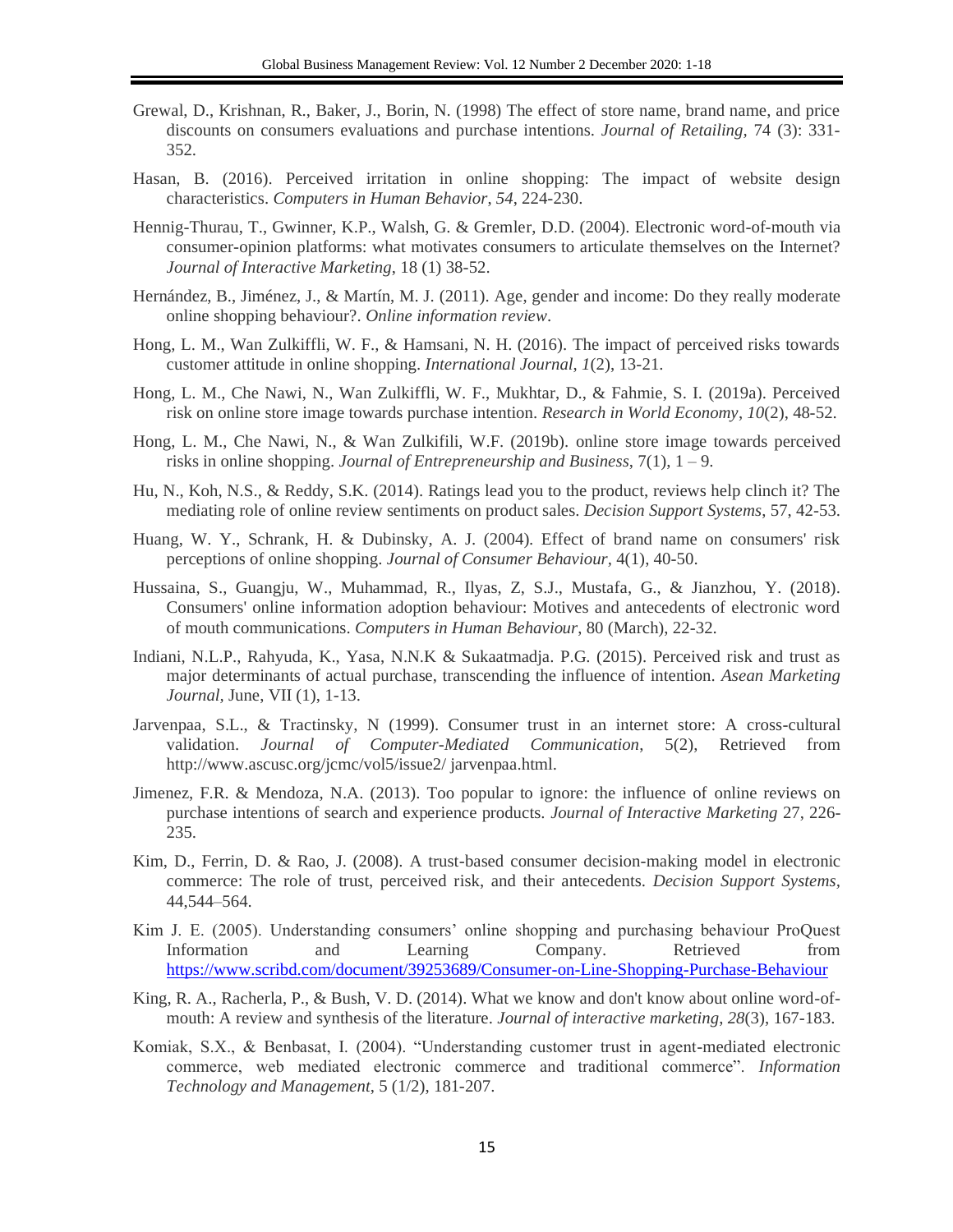- Grewal, D., Krishnan, R., Baker, J., Borin, N. (1998) The effect of store name, brand name, and price discounts on consumers evaluations and purchase intentions. *Journal of Retailing,* 74 (3): 331- 352.
- Hasan, B. (2016). Perceived irritation in online shopping: The impact of website design characteristics. *Computers in Human Behavior*, *54*, 224-230.
- Hennig-Thurau, T., Gwinner, K.P., Walsh, G. & Gremler, D.D. (2004). Electronic word-of-mouth via consumer-opinion platforms: what motivates consumers to articulate themselves on the Internet? *Journal of Interactive Marketing*, 18 (1) 38-52.
- Hernández, B., Jiménez, J., & Martín, M. J. (2011). Age, gender and income: Do they really moderate online shopping behaviour?. *Online information review*.
- Hong, L. M., Wan Zulkiffli, W. F., & Hamsani, N. H. (2016). The impact of perceived risks towards customer attitude in online shopping. *International Journal*, *1*(2), 13-21.
- Hong, L. M., Che Nawi, N., Wan Zulkiffli, W. F., Mukhtar, D., & Fahmie, S. I. (2019a). Perceived risk on online store image towards purchase intention. *Research in World Economy*, *10*(2), 48-52.
- Hong, L. M., Che Nawi, N., & Wan Zulkifili, W.F. (2019b). online store image towards perceived risks in online shopping. *Journal of Entrepreneurship and Business*, 7(1), 1 – 9.
- Hu, N., Koh, N.S., & Reddy, S.K. (2014). Ratings lead you to the product, reviews help clinch it? The mediating role of online review sentiments on product sales. *Decision Support Systems*, 57, 42-53.
- Huang, W. Y., Schrank, H. & Dubinsky, A. J. (2004). Effect of brand name on consumers' risk perceptions of online shopping. *Journal of Consumer Behaviour,* 4(1), 40-50.
- Hussaina, S., Guangju, W., Muhammad, R., Ilyas, Z, S.J., Mustafa, G., & Jianzhou, Y. (2018). Consumers' online information adoption behaviour: Motives and antecedents of electronic word of mouth communications. *Computers in Human Behaviour*, 80 (March), 22-32.
- Indiani, N.L.P., Rahyuda, K., Yasa, N.N.K & Sukaatmadja. P.G. (2015). Perceived risk and trust as major determinants of actual purchase, transcending the influence of intention. *Asean Marketing Journal,* June, VII (1), 1-13.
- Jarvenpaa, S.L., & Tractinsky, N (1999). Consumer trust in an internet store: A cross-cultural validation. *Journal of Computer-Mediated Communication*, 5(2), Retrieved from http://www.ascusc.org/jcmc/vol5/issue2/ jarvenpaa.html.
- Jimenez, F.R. & Mendoza, N.A. (2013). Too popular to ignore: the influence of online reviews on purchase intentions of search and experience products. *Journal of Interactive Marketing* 27, 226- 235.
- Kim, D., Ferrin, D. & Rao, J. (2008). A trust-based consumer decision-making model in electronic commerce: The role of trust, perceived risk, and their antecedents. *Decision Support Systems,* 44,544–564.
- Kim J. E. (2005). Understanding consumers' online shopping and purchasing behaviour ProQuest Information and Learning Company. Retrieved from <https://www.scribd.com/document/39253689/Consumer-on-Line-Shopping-Purchase-Behaviour>
- King, R. A., Racherla, P., & Bush, V. D. (2014). What we know and don't know about online word-ofmouth: A review and synthesis of the literature. *Journal of interactive marketing*, *28*(3), 167-183.
- Komiak, S.X., & Benbasat, I. (2004). "Understanding customer trust in agent-mediated electronic commerce, web mediated electronic commerce and traditional commerce". *Information Technology and Management*, 5 (1/2), 181-207.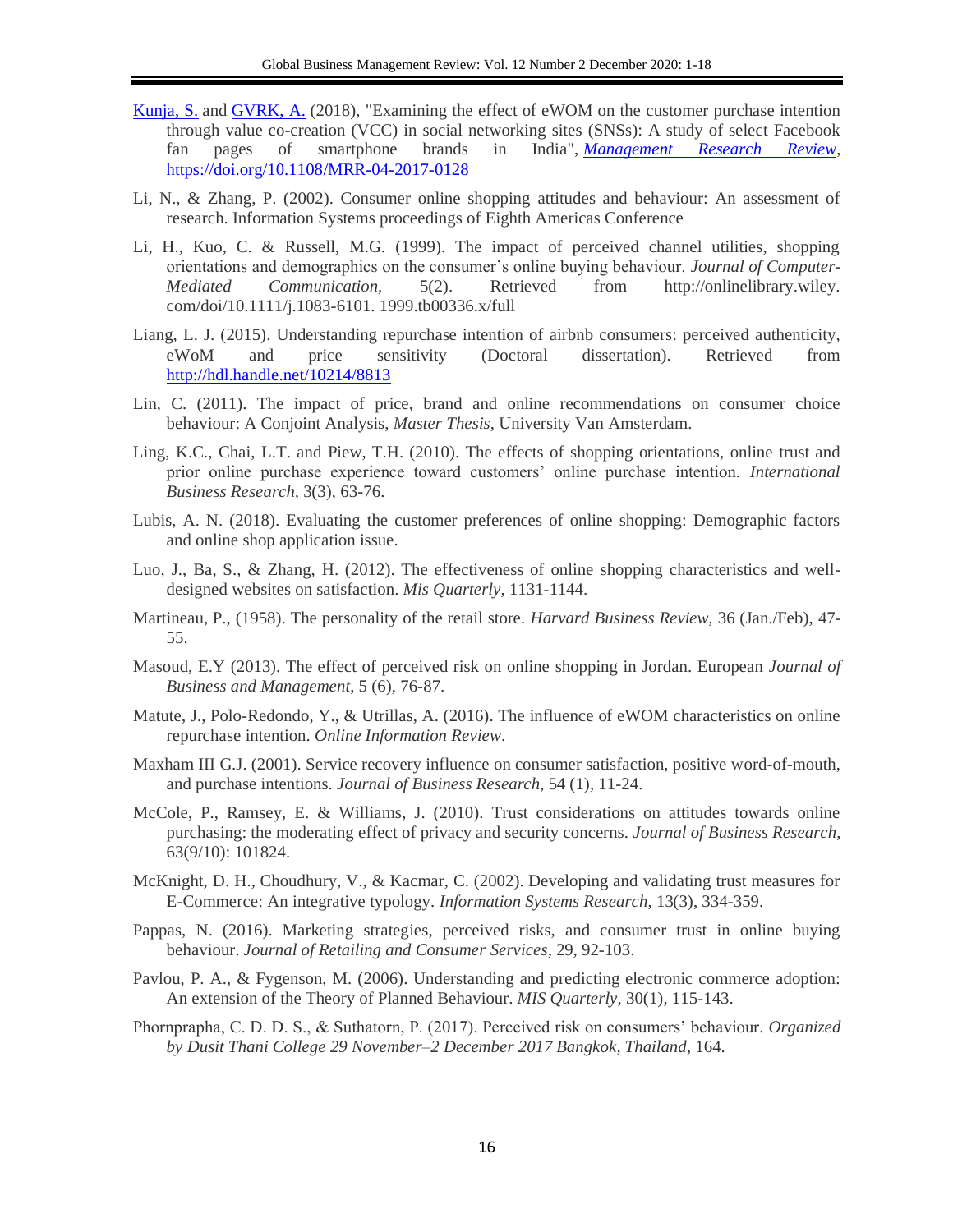- [Kunja, S.](https://www.emerald.com/insight/search?q=Sambashiva%2520Rao%2520Kunja) and [GVRK, A.](https://www.emerald.com/insight/search?q=Acharyulu%2520GVRK) (2018), "Examining the effect of eWOM on the customer purchase intention through value co-creation (VCC) in social networking sites (SNSs): A study of select Facebook fan pages of smartphone brands in India", *[Management Research Review](https://www.emerald.com/insight/publication/issn/2040-8269)*, <https://doi.org/10.1108/MRR-04-2017-0128>
- Li, N., & Zhang, P. (2002). Consumer online shopping attitudes and behaviour: An assessment of research. Information Systems proceedings of Eighth Americas Conference
- Li, H., Kuo, C. & Russell, M.G. (1999). The impact of perceived channel utilities, shopping orientations and demographics on the consumer's online buying behaviour. *Journal of Computer-Mediated Communication,* 5(2). Retrieved from http://onlinelibrary.wiley. com/doi/10.1111/j.1083-6101. 1999.tb00336.x/full
- Liang, L. J. (2015). Understanding repurchase intention of airbnb consumers: perceived authenticity, eWoM and price sensitivity (Doctoral dissertation). Retrieved from <http://hdl.handle.net/10214/8813>
- Lin, C. (2011). The impact of price, brand and online recommendations on consumer choice behaviour: A Conjoint Analysis, *Master Thesis*, University Van Amsterdam.
- Ling, K.C., Chai, L.T. and Piew, T.H. (2010). The effects of shopping orientations, online trust and prior online purchase experience toward customers' online purchase intention. *International Business Research,* 3(3), 63-76.
- Lubis, A. N. (2018). Evaluating the customer preferences of online shopping: Demographic factors and online shop application issue.
- Luo, J., Ba, S., & Zhang, H. (2012). The effectiveness of online shopping characteristics and welldesigned websites on satisfaction. *Mis Quarterly*, 1131-1144.
- Martineau, P., (1958). The personality of the retail store. *Harvard Business Review,* 36 (Jan./Feb), 47- 55.
- Masoud, E.Y (2013). The effect of perceived risk on online shopping in Jordan. European *Journal of Business and Management*, 5 (6), 76-87.
- Matute, J., Polo-Redondo, Y., & Utrillas, A. (2016). The influence of eWOM characteristics on online repurchase intention. *Online Information Review*.
- Maxham III G.J. (2001). Service recovery influence on consumer satisfaction, positive word-of-mouth, and purchase intentions. *Journal of Business Research*, 54 (1), 11-24.
- McCole, P., Ramsey, E. & Williams, J. (2010). Trust considerations on attitudes towards online purchasing: the moderating effect of privacy and security concerns. *Journal of Business Research*, 63(9/10): 101824.
- McKnight, D. H., Choudhury, V., & Kacmar, C. (2002). Developing and validating trust measures for E-Commerce: An integrative typology. *Information Systems Research*, 13(3), 334-359.
- Pappas, N. (2016). Marketing strategies, perceived risks, and consumer trust in online buying behaviour. *Journal of Retailing and Consumer Services*, 29, 92-103.
- Pavlou, P. A., & Fygenson, M. (2006). Understanding and predicting electronic commerce adoption: An extension of the Theory of Planned Behaviour. *MIS Quarterly*, 30(1), 115-143.
- Phornprapha, C. D. D. S., & Suthatorn, P. (2017). Perceived risk on consumers' behaviour. *Organized by Dusit Thani College 29 November–2 December 2017 Bangkok, Thailand*, 164.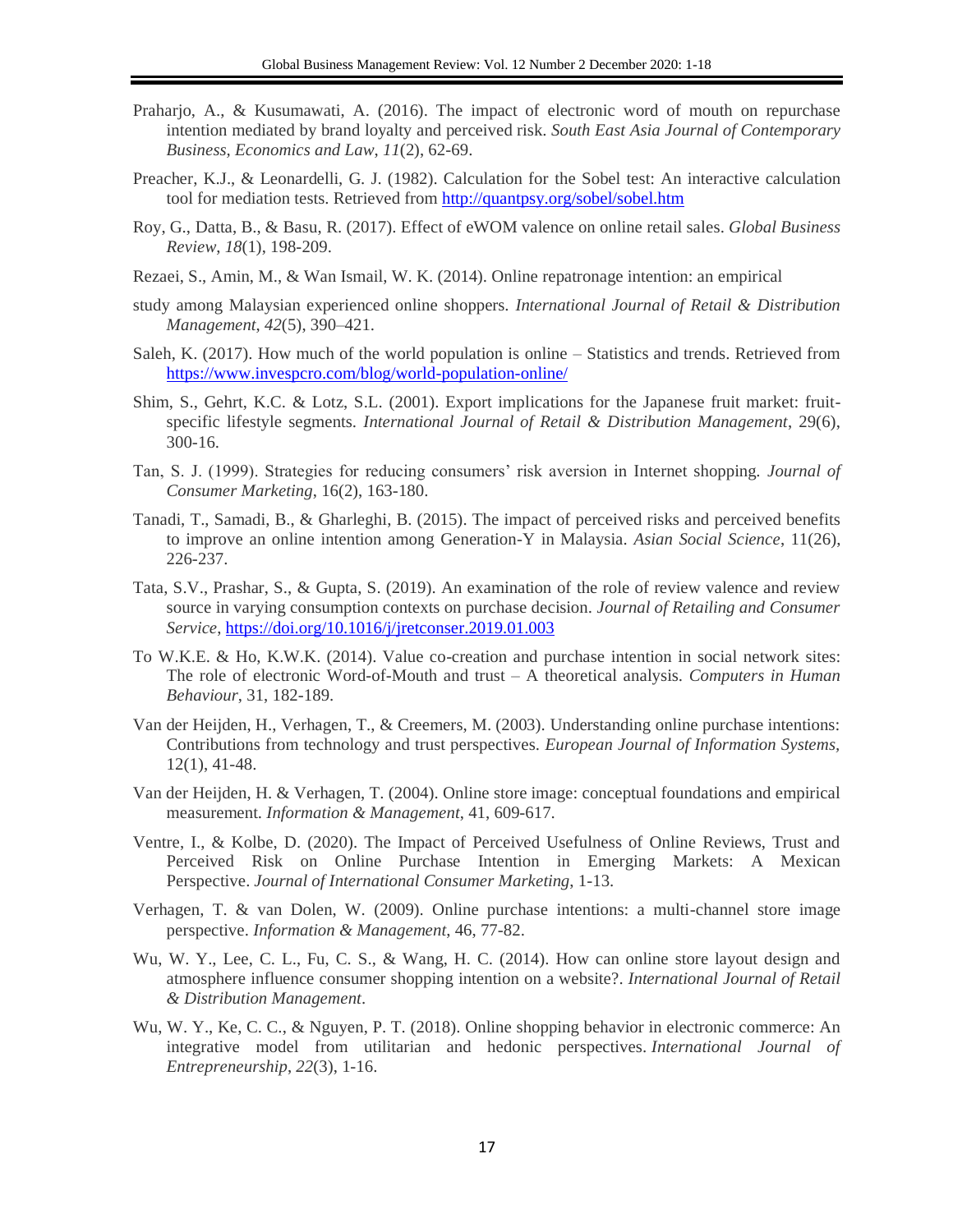- Praharjo, A., & Kusumawati, A. (2016). The impact of electronic word of mouth on repurchase intention mediated by brand loyalty and perceived risk. *South East Asia Journal of Contemporary Business, Economics and Law*, *11*(2), 62-69.
- Preacher, K.J., & Leonardelli, G. J. (1982). Calculation for the Sobel test: An interactive calculation tool for mediation tests. Retrieved from<http://quantpsy.org/sobel/sobel.htm>
- Roy, G., Datta, B., & Basu, R. (2017). Effect of eWOM valence on online retail sales. *Global Business Review*, *18*(1), 198-209.
- Rezaei, S., Amin, M., & Wan Ismail, W. K. (2014). Online repatronage intention: an empirical
- study among Malaysian experienced online shoppers. *International Journal of Retail & Distribution Management*, *42*(5), 390–421.
- Saleh, K. (2017). How much of the world population is online Statistics and trends. Retrieved from <https://www.invespcro.com/blog/world-population-online/>
- Shim, S., Gehrt, K.C. & Lotz, S.L. (2001). Export implications for the Japanese fruit market: fruitspecific lifestyle segments. *International Journal of Retail & Distribution Management*, 29(6), 300-16.
- Tan, S. J. (1999). Strategies for reducing consumers' risk aversion in Internet shopping*. Journal of Consumer Marketing*, 16(2), 163-180.
- Tanadi, T., Samadi, B., & Gharleghi, B. (2015). The impact of perceived risks and perceived benefits to improve an online intention among Generation-Y in Malaysia. *Asian Social Science*, 11(26), 226-237.
- Tata, S.V., Prashar, S., & Gupta, S. (2019). An examination of the role of review valence and review source in varying consumption contexts on purchase decision. *Journal of Retailing and Consumer Service*,<https://doi.org/10.1016/j/jretconser.2019.01.003>
- To W.K.E. & Ho, K.W.K. (2014). Value co-creation and purchase intention in social network sites: The role of electronic Word-of-Mouth and trust – A theoretical analysis. *Computers in Human Behaviour*, 31, 182-189.
- Van der Heijden, H., Verhagen, T., & Creemers, M. (2003). Understanding online purchase intentions: Contributions from technology and trust perspectives. *European Journal of Information Systems,*  12(1), 41-48.
- Van der Heijden, H. & Verhagen, T. (2004). Online store image: conceptual foundations and empirical measurement. *Information & Management*, 41, 609-617.
- Ventre, I., & Kolbe, D. (2020). The Impact of Perceived Usefulness of Online Reviews, Trust and Perceived Risk on Online Purchase Intention in Emerging Markets: A Mexican Perspective. *Journal of International Consumer Marketing*, 1-13.
- Verhagen, T. & van Dolen, W. (2009). Online purchase intentions: a multi-channel store image perspective. *Information & Management*, 46, 77-82.
- Wu, W. Y., Lee, C. L., Fu, C. S., & Wang, H. C. (2014). How can online store layout design and atmosphere influence consumer shopping intention on a website?. *International Journal of Retail & Distribution Management*.
- Wu, W. Y., Ke, C. C., & Nguyen, P. T. (2018). Online shopping behavior in electronic commerce: An integrative model from utilitarian and hedonic perspectives. *International Journal of Entrepreneurship*, *22*(3), 1-16.